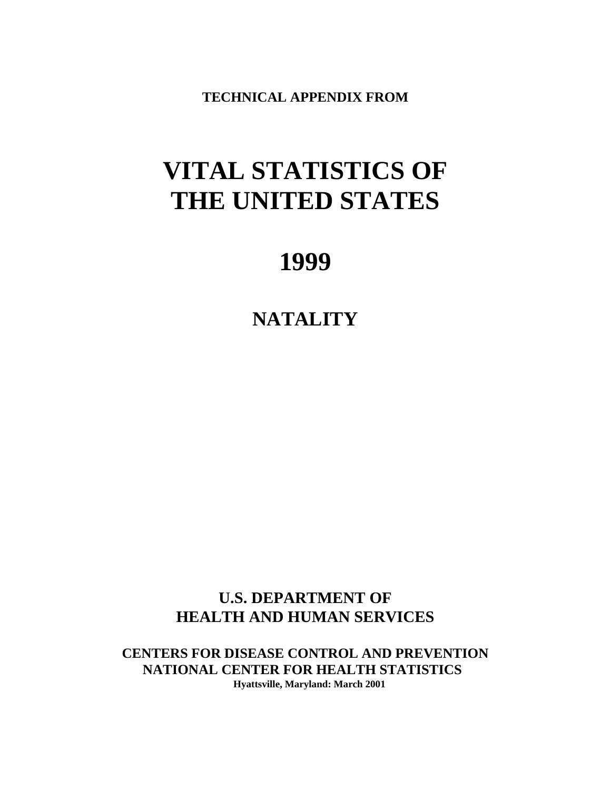**TECHNICAL APPENDIX FROM**

# **VITAL STATISTICS OF THE UNITED STATES**

# **1999**

# **NATALITY**

**U.S. DEPARTMENT OF HEALTH AND HUMAN SERVICES**

**CENTERS FOR DISEASE CONTROL AND PREVENTION NATIONAL CENTER FOR HEALTH STATISTICS Hyattsville, Maryland: March 2001**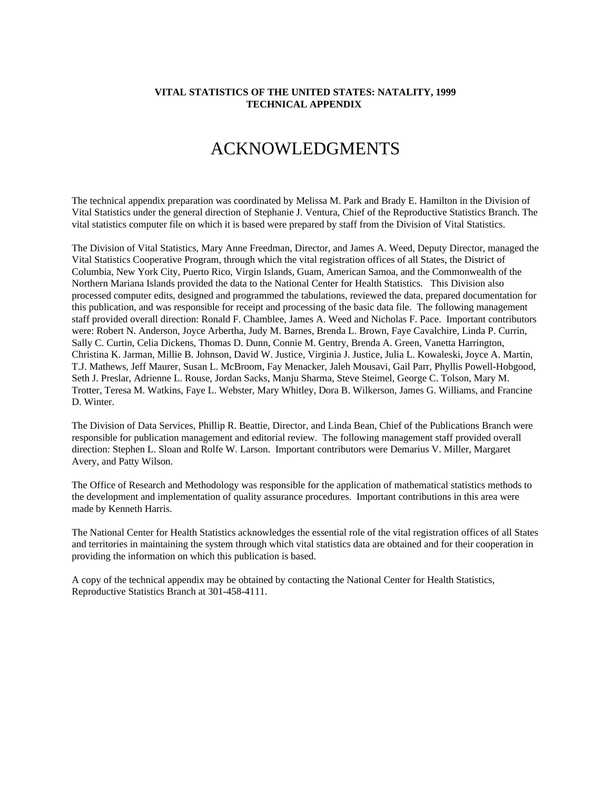# ACKNOWLEDGMENTS

The technical appendix preparation was coordinated by Melissa M. Park and Brady E. Hamilton in the Division of Vital Statistics under the general direction of Stephanie J. Ventura, Chief of the Reproductive Statistics Branch. The vital statistics computer file on which it is based were prepared by staff from the Division of Vital Statistics.

The Division of Vital Statistics, Mary Anne Freedman, Director, and James A. Weed, Deputy Director, managed the Vital Statistics Cooperative Program, through which the vital registration offices of all States, the District of Columbia, New York City, Puerto Rico, Virgin Islands, Guam, American Samoa, and the Commonwealth of the Northern Mariana Islands provided the data to the National Center for Health Statistics. This Division also processed computer edits, designed and programmed the tabulations, reviewed the data, prepared documentation for this publication, and was responsible for receipt and processing of the basic data file. The following management staff provided overall direction: Ronald F. Chamblee, James A. Weed and Nicholas F. Pace. Important contributors were: Robert N. Anderson, Joyce Arbertha, Judy M. Barnes, Brenda L. Brown, Faye Cavalchire, Linda P. Currin, Sally C. Curtin, Celia Dickens, Thomas D. Dunn, Connie M. Gentry, Brenda A. Green, Vanetta Harrington, Christina K. Jarman, Millie B. Johnson, David W. Justice, Virginia J. Justice, Julia L. Kowaleski, Joyce A. Martin, T.J. Mathews, Jeff Maurer, Susan L. McBroom, Fay Menacker, Jaleh Mousavi, Gail Parr, Phyllis Powell-Hobgood, Seth J. Preslar, Adrienne L. Rouse, Jordan Sacks, Manju Sharma, Steve Steimel, George C. Tolson, Mary M. Trotter, Teresa M. Watkins, Faye L. Webster, Mary Whitley, Dora B. Wilkerson, James G. Williams, and Francine D. Winter.

The Division of Data Services, Phillip R. Beattie, Director, and Linda Bean, Chief of the Publications Branch were responsible for publication management and editorial review. The following management staff provided overall direction: Stephen L. Sloan and Rolfe W. Larson. Important contributors were Demarius V. Miller, Margaret Avery, and Patty Wilson.

The Office of Research and Methodology was responsible for the application of mathematical statistics methods to the development and implementation of quality assurance procedures. Important contributions in this area were made by Kenneth Harris.

The National Center for Health Statistics acknowledges the essential role of the vital registration offices of all States and territories in maintaining the system through which vital statistics data are obtained and for their cooperation in providing the information on which this publication is based.

A copy of the technical appendix may be obtained by contacting the National Center for Health Statistics, Reproductive Statistics Branch at 301-458-4111.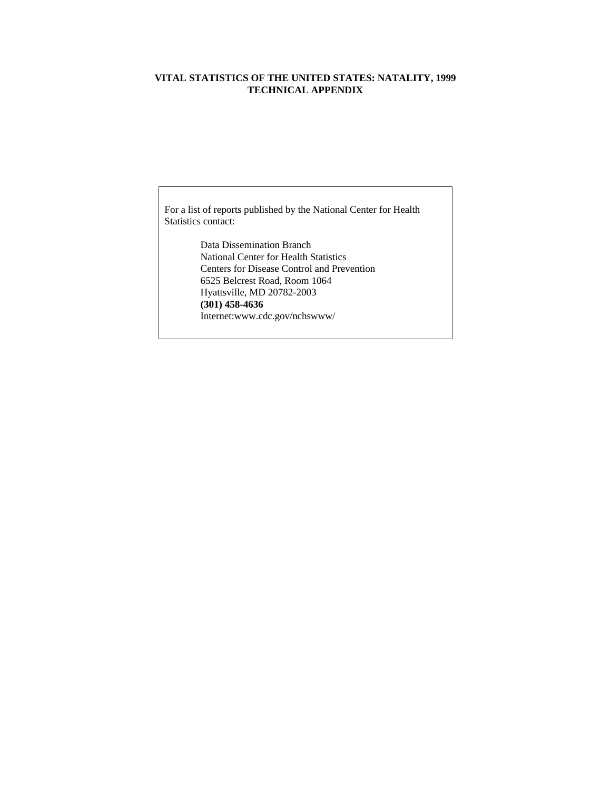For a list of reports published by the National Center for Health Statistics contact:

> Data Dissemination Branch National Center for Health Statistics Centers for Disease Control and Prevention 6525 Belcrest Road, Room 1064 Hyattsville, MD 20782-2003 **(301) 458-4636** Internet:www.cdc.gov/nchswww/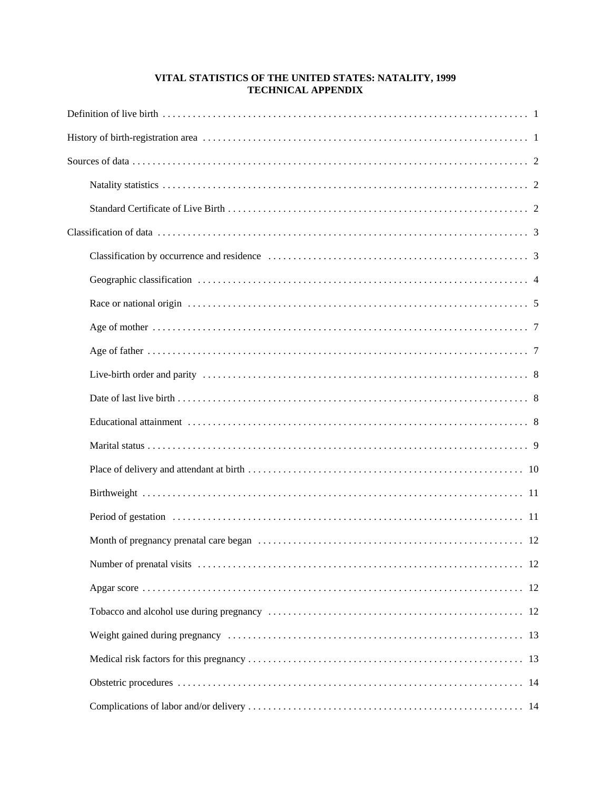| -12 |  |  |  |  |
|-----|--|--|--|--|
| -12 |  |  |  |  |
| -13 |  |  |  |  |
|     |  |  |  |  |
|     |  |  |  |  |
|     |  |  |  |  |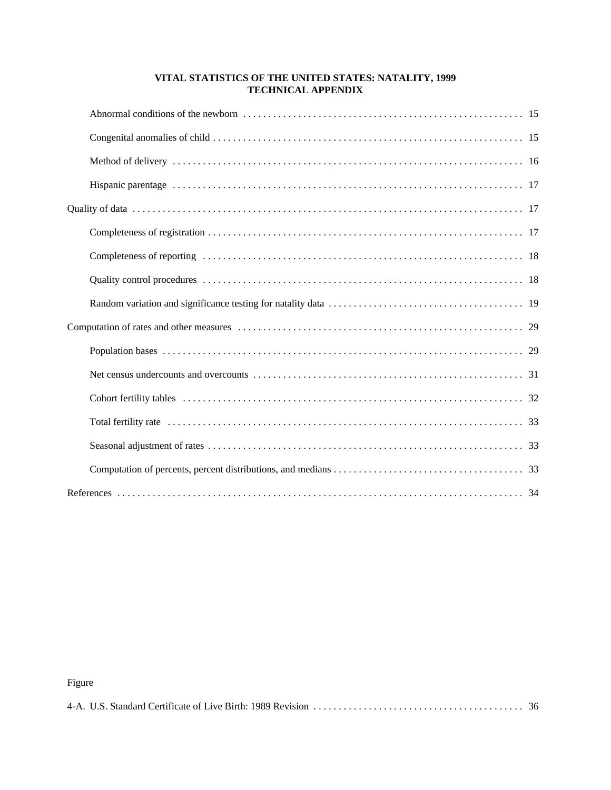# Figure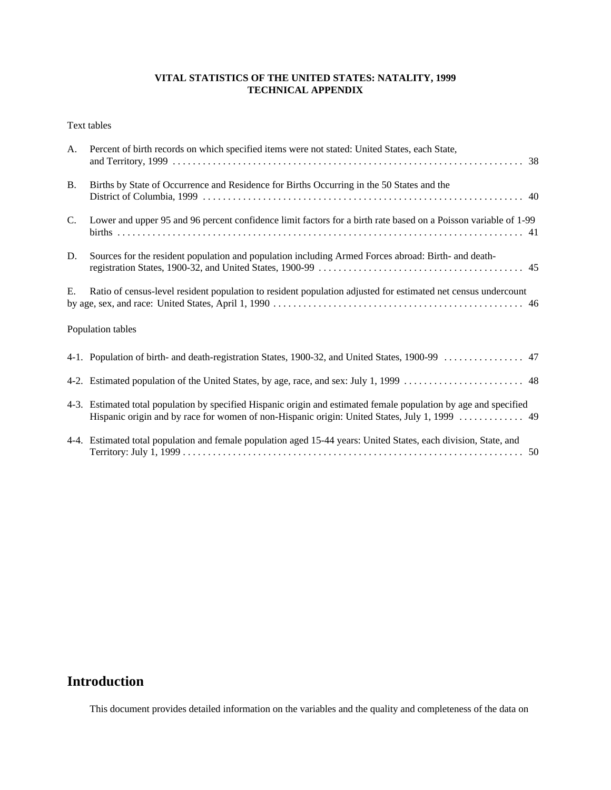Text tables

| A.             | Percent of birth records on which specified items were not stated: United States, each State,                                                                                                                      |  |  |
|----------------|--------------------------------------------------------------------------------------------------------------------------------------------------------------------------------------------------------------------|--|--|
| <b>B.</b>      | Births by State of Occurrence and Residence for Births Occurring in the 50 States and the                                                                                                                          |  |  |
| $\mathbf{C}$ . | Lower and upper 95 and 96 percent confidence limit factors for a birth rate based on a Poisson variable of 1-99                                                                                                    |  |  |
| D.             | Sources for the resident population and population including Armed Forces abroad: Birth- and death-                                                                                                                |  |  |
| E.             | Ratio of census-level resident population to resident population adjusted for estimated net census undercount                                                                                                      |  |  |
|                | Population tables                                                                                                                                                                                                  |  |  |
|                | 4-1. Population of birth- and death-registration States, 1900-32, and United States, 1900-99  47                                                                                                                   |  |  |
|                |                                                                                                                                                                                                                    |  |  |
|                | 4-3. Estimated total population by specified Hispanic origin and estimated female population by age and specified<br>Hispanic origin and by race for women of non-Hispanic origin: United States, July 1, 1999  49 |  |  |
|                | 4-4. Estimated total population and female population aged 15-44 years: United States, each division, State, and                                                                                                   |  |  |

# **Introduction**

This document provides detailed information on the variables and the quality and completeness of the data on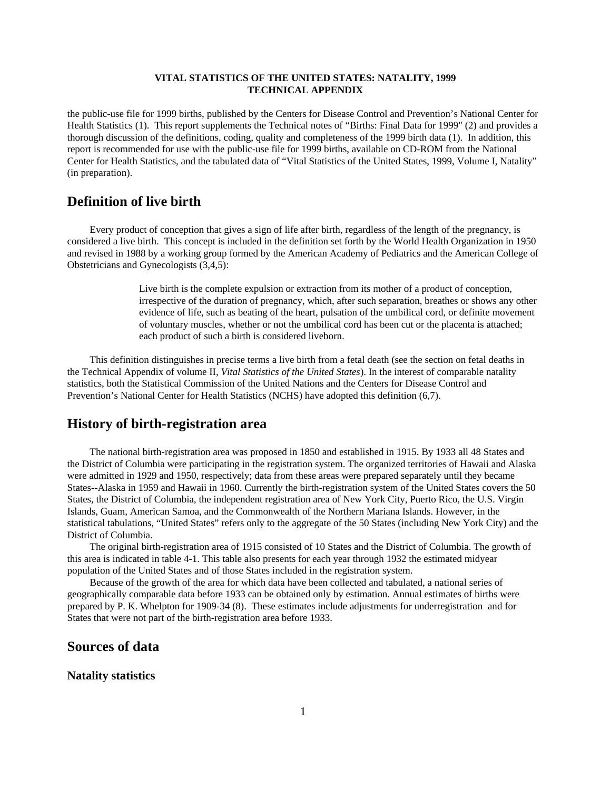the public-use file for 1999 births, published by the Centers for Disease Control and Prevention's National Center for Health Statistics (1). This report supplements the Technical notes of "Births: Final Data for 1999" (2) and provides a thorough discussion of the definitions, coding, quality and completeness of the 1999 birth data (1). In addition, this report is recommended for use with the public-use file for 1999 births, available on CD-ROM from the National Center for Health Statistics, and the tabulated data of "Vital Statistics of the United States, 1999, Volume I, Natality" (in preparation).

# **Definition of live birth**

Every product of conception that gives a sign of life after birth, regardless of the length of the pregnancy, is considered a live birth. This concept is included in the definition set forth by the World Health Organization in 1950 and revised in 1988 by a working group formed by the American Academy of Pediatrics and the American College of Obstetricians and Gynecologists (3,4,5):

> Live birth is the complete expulsion or extraction from its mother of a product of conception, irrespective of the duration of pregnancy, which, after such separation, breathes or shows any other evidence of life, such as beating of the heart, pulsation of the umbilical cord, or definite movement of voluntary muscles, whether or not the umbilical cord has been cut or the placenta is attached; each product of such a birth is considered liveborn.

This definition distinguishes in precise terms a live birth from a fetal death (see the section on fetal deaths in the Technical Appendix of volume II, *Vital Statistics of the United States*). In the interest of comparable natality statistics, both the Statistical Commission of the United Nations and the Centers for Disease Control and Prevention's National Center for Health Statistics (NCHS) have adopted this definition (6,7).

# **History of birth-registration area**

The national birth-registration area was proposed in 1850 and established in 1915. By 1933 all 48 States and the District of Columbia were participating in the registration system. The organized territories of Hawaii and Alaska were admitted in 1929 and 1950, respectively; data from these areas were prepared separately until they became States--Alaska in 1959 and Hawaii in 1960. Currently the birth-registration system of the United States covers the 50 States, the District of Columbia, the independent registration area of New York City, Puerto Rico, the U.S. Virgin Islands, Guam, American Samoa, and the Commonwealth of the Northern Mariana Islands. However, in the statistical tabulations, "United States" refers only to the aggregate of the 50 States (including New York City) and the District of Columbia.

The original birth-registration area of 1915 consisted of 10 States and the District of Columbia. The growth of this area is indicated in table 4-1. This table also presents for each year through 1932 the estimated midyear population of the United States and of those States included in the registration system.

Because of the growth of the area for which data have been collected and tabulated, a national series of geographically comparable data before 1933 can be obtained only by estimation. Annual estimates of births were prepared by P. K. Whelpton for 1909-34 (8). These estimates include adjustments for underregistration and for States that were not part of the birth-registration area before 1933.

# **Sources of data**

#### **Natality statistics**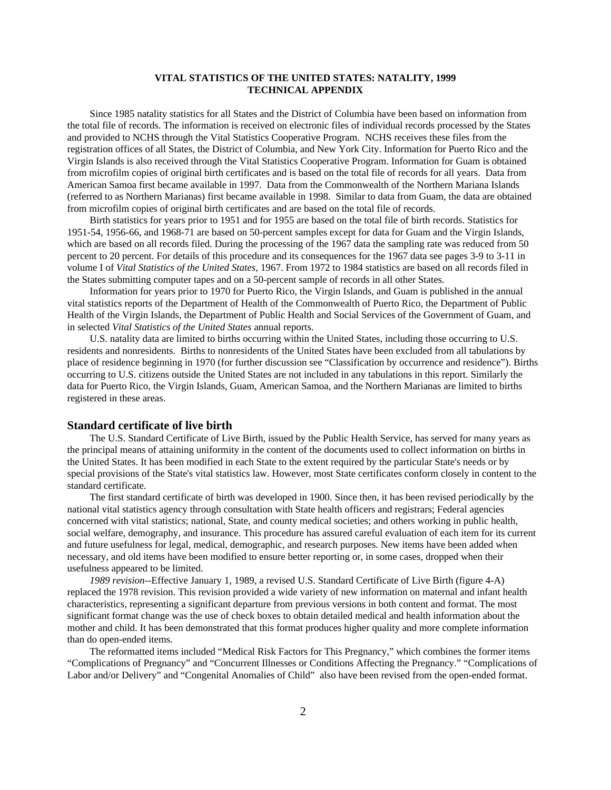Since 1985 natality statistics for all States and the District of Columbia have been based on information from the total file of records. The information is received on electronic files of individual records processed by the States and provided to NCHS through the Vital Statistics Cooperative Program. NCHS receives these files from the registration offices of all States, the District of Columbia, and New York City. Information for Puerto Rico and the Virgin Islands is also received through the Vital Statistics Cooperative Program. Information for Guam is obtained from microfilm copies of original birth certificates and is based on the total file of records for all years. Data from American Samoa first became available in 1997. Data from the Commonwealth of the Northern Mariana Islands (referred to as Northern Marianas) first became available in 1998. Similar to data from Guam, the data are obtained from microfilm copies of original birth certificates and are based on the total file of records.

Birth statistics for years prior to 1951 and for 1955 are based on the total file of birth records. Statistics for 1951-54, 1956-66, and 1968-71 are based on 50-percent samples except for data for Guam and the Virgin Islands, which are based on all records filed. During the processing of the 1967 data the sampling rate was reduced from 50 percent to 20 percent. For details of this procedure and its consequences for the 1967 data see pages 3-9 to 3-11 in volume I of *Vital Statistics of the United States*, 1967. From 1972 to 1984 statistics are based on all records filed in the States submitting computer tapes and on a 50-percent sample of records in all other States.

Information for years prior to 1970 for Puerto Rico, the Virgin Islands, and Guam is published in the annual vital statistics reports of the Department of Health of the Commonwealth of Puerto Rico, the Department of Public Health of the Virgin Islands, the Department of Public Health and Social Services of the Government of Guam, and in selected *Vital Statistics of the United States* annual reports.

U.S. natality data are limited to births occurring within the United States, including those occurring to U.S. residents and nonresidents. Births to nonresidents of the United States have been excluded from all tabulations by place of residence beginning in 1970 (for further discussion see "Classification by occurrence and residence"). Births occurring to U.S. citizens outside the United States are not included in any tabulations in this report. Similarly the data for Puerto Rico, the Virgin Islands, Guam, American Samoa, and the Northern Marianas are limited to births registered in these areas.

#### **Standard certificate of live birth**

The U.S. Standard Certificate of Live Birth, issued by the Public Health Service, has served for many years as the principal means of attaining uniformity in the content of the documents used to collect information on births in the United States. It has been modified in each State to the extent required by the particular State's needs or by special provisions of the State's vital statistics law. However, most State certificates conform closely in content to the standard certificate.

The first standard certificate of birth was developed in 1900. Since then, it has been revised periodically by the national vital statistics agency through consultation with State health officers and registrars; Federal agencies concerned with vital statistics; national, State, and county medical societies; and others working in public health, social welfare, demography, and insurance. This procedure has assured careful evaluation of each item for its current and future usefulness for legal, medical, demographic, and research purposes. New items have been added when necessary, and old items have been modified to ensure better reporting or, in some cases, dropped when their usefulness appeared to be limited.

*1989 revision*--Effective January 1, 1989, a revised U.S. Standard Certificate of Live Birth (figure 4-A) replaced the 1978 revision. This revision provided a wide variety of new information on maternal and infant health characteristics, representing a significant departure from previous versions in both content and format. The most significant format change was the use of check boxes to obtain detailed medical and health information about the mother and child. It has been demonstrated that this format produces higher quality and more complete information than do open-ended items.

The reformatted items included "Medical Risk Factors for This Pregnancy," which combines the former items "Complications of Pregnancy" and "Concurrent Illnesses or Conditions Affecting the Pregnancy." "Complications of Labor and/or Delivery" and "Congenital Anomalies of Child" also have been revised from the open-ended format.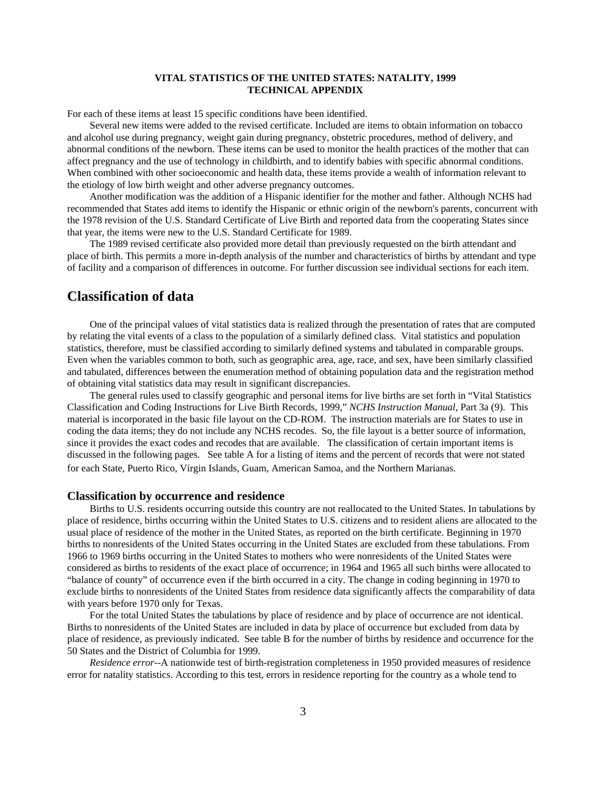For each of these items at least 15 specific conditions have been identified.

Several new items were added to the revised certificate. Included are items to obtain information on tobacco and alcohol use during pregnancy, weight gain during pregnancy, obstetric procedures, method of delivery, and abnormal conditions of the newborn. These items can be used to monitor the health practices of the mother that can affect pregnancy and the use of technology in childbirth, and to identify babies with specific abnormal conditions. When combined with other socioeconomic and health data, these items provide a wealth of information relevant to the etiology of low birth weight and other adverse pregnancy outcomes.

Another modification was the addition of a Hispanic identifier for the mother and father. Although NCHS had recommended that States add items to identify the Hispanic or ethnic origin of the newborn's parents, concurrent with the 1978 revision of the U.S. Standard Certificate of Live Birth and reported data from the cooperating States since that year, the items were new to the U.S. Standard Certificate for 1989.

The 1989 revised certificate also provided more detail than previously requested on the birth attendant and place of birth. This permits a more in-depth analysis of the number and characteristics of births by attendant and type of facility and a comparison of differences in outcome. For further discussion see individual sections for each item.

# **Classification of data**

One of the principal values of vital statistics data is realized through the presentation of rates that are computed by relating the vital events of a class to the population of a similarly defined class. Vital statistics and population statistics, therefore, must be classified according to similarly defined systems and tabulated in comparable groups. Even when the variables common to both, such as geographic area, age, race, and sex, have been similarly classified and tabulated, differences between the enumeration method of obtaining population data and the registration method of obtaining vital statistics data may result in significant discrepancies.

The general rules used to classify geographic and personal items for live births are set forth in "Vital Statistics Classification and Coding Instructions for Live Birth Records, 1999," *NCHS Instruction Manual*, Part 3a (9). This material is incorporated in the basic file layout on the CD-ROM. The instruction materials are for States to use in coding the data items; they do not include any NCHS recodes. So, the file layout is a better source of information, since it provides the exact codes and recodes that are available. The classification of certain important items is discussed in the following pages. See table A for a listing of items and the percent of records that were not stated for each State, Puerto Rico, Virgin Islands, Guam, American Samoa, and the Northern Marianas.

#### **Classification by occurrence and residence**

Births to U.S. residents occurring outside this country are not reallocated to the United States. In tabulations by place of residence, births occurring within the United States to U.S. citizens and to resident aliens are allocated to the usual place of residence of the mother in the United States, as reported on the birth certificate. Beginning in 1970 births to nonresidents of the United States occurring in the United States are excluded from these tabulations. From 1966 to 1969 births occurring in the United States to mothers who were nonresidents of the United States were considered as births to residents of the exact place of occurrence; in 1964 and 1965 all such births were allocated to "balance of county" of occurrence even if the birth occurred in a city. The change in coding beginning in 1970 to exclude births to nonresidents of the United States from residence data significantly affects the comparability of data with years before 1970 only for Texas.

For the total United States the tabulations by place of residence and by place of occurrence are not identical. Births to nonresidents of the United States are included in data by place of occurrence but excluded from data by place of residence, as previously indicated. See table B for the number of births by residence and occurrence for the 50 States and the District of Columbia for 1999.

*Residence error*--A nationwide test of birth-registration completeness in 1950 provided measures of residence error for natality statistics. According to this test, errors in residence reporting for the country as a whole tend to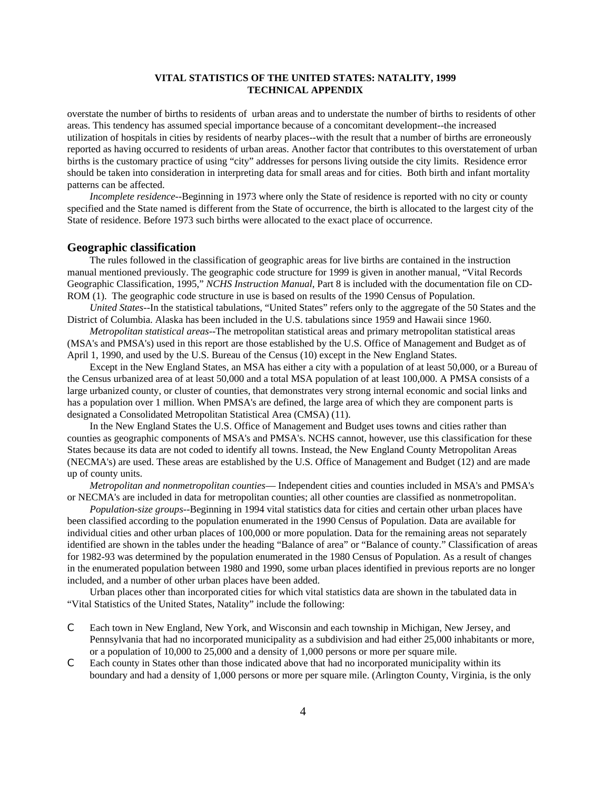overstate the number of births to residents of urban areas and to understate the number of births to residents of other areas. This tendency has assumed special importance because of a concomitant development--the increased utilization of hospitals in cities by residents of nearby places--with the result that a number of births are erroneously reported as having occurred to residents of urban areas. Another factor that contributes to this overstatement of urban births is the customary practice of using "city" addresses for persons living outside the city limits. Residence error should be taken into consideration in interpreting data for small areas and for cities. Both birth and infant mortality patterns can be affected.

*Incomplete residence*--Beginning in 1973 where only the State of residence is reported with no city or county specified and the State named is different from the State of occurrence, the birth is allocated to the largest city of the State of residence. Before 1973 such births were allocated to the exact place of occurrence.

#### **Geographic classification**

The rules followed in the classification of geographic areas for live births are contained in the instruction manual mentioned previously. The geographic code structure for 1999 is given in another manual, "Vital Records Geographic Classification, 1995," *NCHS Instruction Manual*, Part 8 is included with the documentation file on CD-ROM (1). The geographic code structure in use is based on results of the 1990 Census of Population.

*United States*--In the statistical tabulations, "United States" refers only to the aggregate of the 50 States and the District of Columbia. Alaska has been included in the U.S. tabulations since 1959 and Hawaii since 1960.

*Metropolitan statistical areas*--The metropolitan statistical areas and primary metropolitan statistical areas (MSA's and PMSA's) used in this report are those established by the U.S. Office of Management and Budget as of April 1, 1990, and used by the U.S. Bureau of the Census (10) except in the New England States.

Except in the New England States, an MSA has either a city with a population of at least 50,000, or a Bureau of the Census urbanized area of at least 50,000 and a total MSA population of at least 100,000. A PMSA consists of a large urbanized county, or cluster of counties, that demonstrates very strong internal economic and social links and has a population over 1 million. When PMSA's are defined, the large area of which they are component parts is designated a Consolidated Metropolitan Statistical Area (CMSA) (11).

In the New England States the U.S. Office of Management and Budget uses towns and cities rather than counties as geographic components of MSA's and PMSA's. NCHS cannot, however, use this classification for these States because its data are not coded to identify all towns. Instead, the New England County Metropolitan Areas (NECMA's) are used. These areas are established by the U.S. Office of Management and Budget (12) and are made up of county units.

*Metropolitan and nonmetropolitan counties*— Independent cities and counties included in MSA's and PMSA's or NECMA's are included in data for metropolitan counties; all other counties are classified as nonmetropolitan.

*Population-size groups*--Beginning in 1994 vital statistics data for cities and certain other urban places have been classified according to the population enumerated in the 1990 Census of Population. Data are available for individual cities and other urban places of 100,000 or more population. Data for the remaining areas not separately identified are shown in the tables under the heading "Balance of area" or "Balance of county." Classification of areas for 1982-93 was determined by the population enumerated in the 1980 Census of Population. As a result of changes in the enumerated population between 1980 and 1990, some urban places identified in previous reports are no longer included, and a number of other urban places have been added.

Urban places other than incorporated cities for which vital statistics data are shown in the tabulated data in "Vital Statistics of the United States, Natality" include the following:

- C Each town in New England, New York, and Wisconsin and each township in Michigan, New Jersey, and Pennsylvania that had no incorporated municipality as a subdivision and had either 25,000 inhabitants or more, or a population of 10,000 to 25,000 and a density of 1,000 persons or more per square mile.
- C Each county in States other than those indicated above that had no incorporated municipality within its boundary and had a density of 1,000 persons or more per square mile. (Arlington County, Virginia, is the only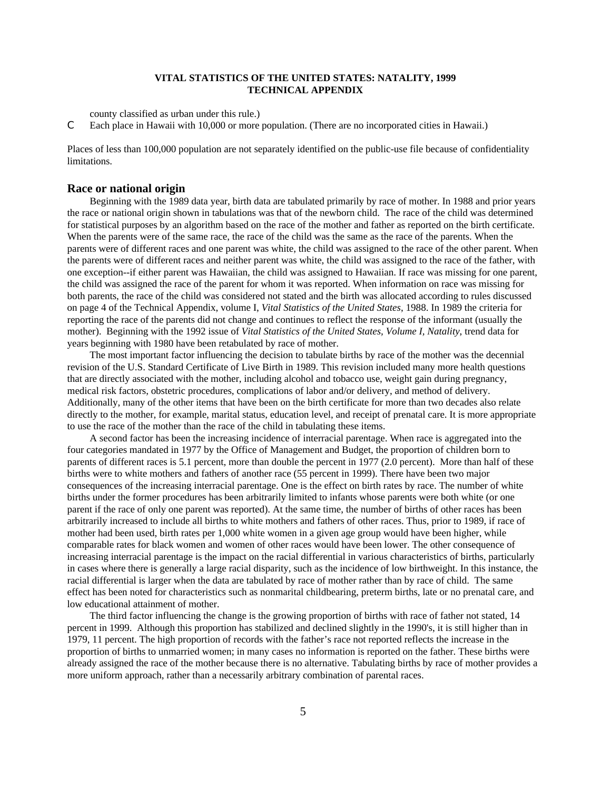county classified as urban under this rule.)

C Each place in Hawaii with 10,000 or more population. (There are no incorporated cities in Hawaii.)

Places of less than 100,000 population are not separately identified on the public-use file because of confidentiality limitations.

#### **Race or national origin**

Beginning with the 1989 data year, birth data are tabulated primarily by race of mother. In 1988 and prior years the race or national origin shown in tabulations was that of the newborn child. The race of the child was determined for statistical purposes by an algorithm based on the race of the mother and father as reported on the birth certificate. When the parents were of the same race, the race of the child was the same as the race of the parents. When the parents were of different races and one parent was white, the child was assigned to the race of the other parent. When the parents were of different races and neither parent was white, the child was assigned to the race of the father, with one exception--if either parent was Hawaiian, the child was assigned to Hawaiian. If race was missing for one parent, the child was assigned the race of the parent for whom it was reported. When information on race was missing for both parents, the race of the child was considered not stated and the birth was allocated according to rules discussed on page 4 of the Technical Appendix, volume I, *Vital Statistics of the United States*, 1988. In 1989 the criteria for reporting the race of the parents did not change and continues to reflect the response of the informant (usually the mother). Beginning with the 1992 issue of *Vital Statistics of the United States, Volume I, Natality*, trend data for years beginning with 1980 have been retabulated by race of mother.

The most important factor influencing the decision to tabulate births by race of the mother was the decennial revision of the U.S. Standard Certificate of Live Birth in 1989. This revision included many more health questions that are directly associated with the mother, including alcohol and tobacco use, weight gain during pregnancy, medical risk factors, obstetric procedures, complications of labor and/or delivery, and method of delivery. Additionally, many of the other items that have been on the birth certificate for more than two decades also relate directly to the mother, for example, marital status, education level, and receipt of prenatal care. It is more appropriate to use the race of the mother than the race of the child in tabulating these items.

A second factor has been the increasing incidence of interracial parentage. When race is aggregated into the four categories mandated in 1977 by the Office of Management and Budget, the proportion of children born to parents of different races is 5.1 percent, more than double the percent in 1977 (2.0 percent). More than half of these births were to white mothers and fathers of another race (55 percent in 1999). There have been two major consequences of the increasing interracial parentage. One is the effect on birth rates by race. The number of white births under the former procedures has been arbitrarily limited to infants whose parents were both white (or one parent if the race of only one parent was reported). At the same time, the number of births of other races has been arbitrarily increased to include all births to white mothers and fathers of other races. Thus, prior to 1989, if race of mother had been used, birth rates per 1,000 white women in a given age group would have been higher, while comparable rates for black women and women of other races would have been lower. The other consequence of increasing interracial parentage is the impact on the racial differential in various characteristics of births, particularly in cases where there is generally a large racial disparity, such as the incidence of low birthweight. In this instance, the racial differential is larger when the data are tabulated by race of mother rather than by race of child. The same effect has been noted for characteristics such as nonmarital childbearing, preterm births, late or no prenatal care, and low educational attainment of mother.

The third factor influencing the change is the growing proportion of births with race of father not stated, 14 percent in 1999. Although this proportion has stabilized and declined slightly in the 1990's, it is still higher than in 1979, 11 percent. The high proportion of records with the father's race not reported reflects the increase in the proportion of births to unmarried women; in many cases no information is reported on the father. These births were already assigned the race of the mother because there is no alternative. Tabulating births by race of mother provides a more uniform approach, rather than a necessarily arbitrary combination of parental races.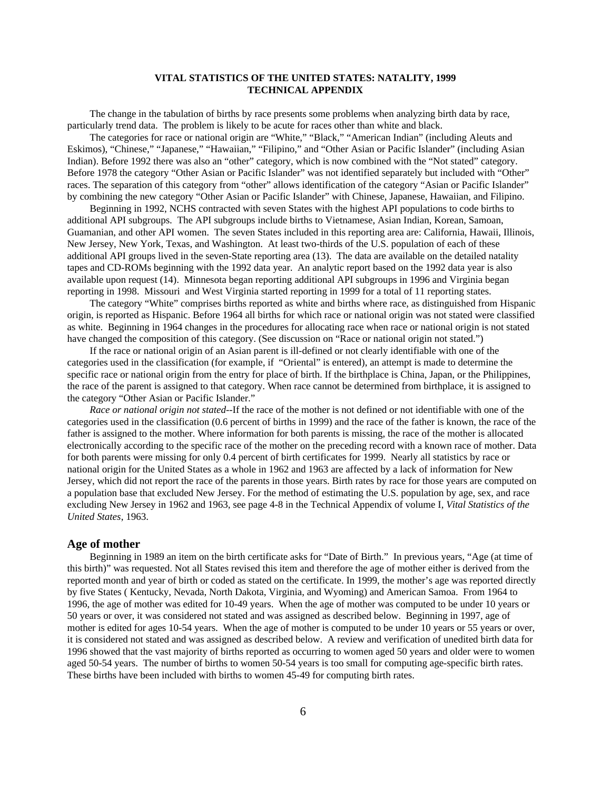The change in the tabulation of births by race presents some problems when analyzing birth data by race, particularly trend data. The problem is likely to be acute for races other than white and black.

The categories for race or national origin are "White," "Black," "American Indian" (including Aleuts and Eskimos), "Chinese," "Japanese," "Hawaiian," "Filipino," and "Other Asian or Pacific Islander" (including Asian Indian). Before 1992 there was also an "other" category, which is now combined with the "Not stated" category. Before 1978 the category "Other Asian or Pacific Islander" was not identified separately but included with "Other" races. The separation of this category from "other" allows identification of the category "Asian or Pacific Islander" by combining the new category "Other Asian or Pacific Islander" with Chinese, Japanese, Hawaiian, and Filipino.

Beginning in 1992, NCHS contracted with seven States with the highest API populations to code births to additional API subgroups. The API subgroups include births to Vietnamese, Asian Indian, Korean, Samoan, Guamanian, and other API women. The seven States included in this reporting area are: California, Hawaii, Illinois, New Jersey, New York, Texas, and Washington. At least two-thirds of the U.S. population of each of these additional API groups lived in the seven-State reporting area (13). The data are available on the detailed natality tapes and CD-ROMs beginning with the 1992 data year. An analytic report based on the 1992 data year is also available upon request (14). Minnesota began reporting additional API subgroups in 1996 and Virginia began reporting in 1998. Missouri and West Virginia started reporting in 1999 for a total of 11 reporting states.

The category "White" comprises births reported as white and births where race, as distinguished from Hispanic origin, is reported as Hispanic. Before 1964 all births for which race or national origin was not stated were classified as white. Beginning in 1964 changes in the procedures for allocating race when race or national origin is not stated have changed the composition of this category. (See discussion on "Race or national origin not stated.")

If the race or national origin of an Asian parent is ill-defined or not clearly identifiable with one of the categories used in the classification (for example, if "Oriental" is entered), an attempt is made to determine the specific race or national origin from the entry for place of birth. If the birthplace is China, Japan, or the Philippines, the race of the parent is assigned to that category. When race cannot be determined from birthplace, it is assigned to the category "Other Asian or Pacific Islander."

*Race or national origin not stated*--If the race of the mother is not defined or not identifiable with one of the categories used in the classification (0.6 percent of births in 1999) and the race of the father is known, the race of the father is assigned to the mother. Where information for both parents is missing, the race of the mother is allocated electronically according to the specific race of the mother on the preceding record with a known race of mother. Data for both parents were missing for only 0.4 percent of birth certificates for 1999. Nearly all statistics by race or national origin for the United States as a whole in 1962 and 1963 are affected by a lack of information for New Jersey, which did not report the race of the parents in those years. Birth rates by race for those years are computed on a population base that excluded New Jersey. For the method of estimating the U.S. population by age, sex, and race excluding New Jersey in 1962 and 1963, see page 4-8 in the Technical Appendix of volume I, *Vital Statistics of the United States*, 1963.

#### **Age of mother**

Beginning in 1989 an item on the birth certificate asks for "Date of Birth." In previous years, "Age (at time of this birth)" was requested. Not all States revised this item and therefore the age of mother either is derived from the reported month and year of birth or coded as stated on the certificate. In 1999, the mother's age was reported directly by five States ( Kentucky, Nevada, North Dakota, Virginia, and Wyoming) and American Samoa. From 1964 to 1996, the age of mother was edited for 10-49 years. When the age of mother was computed to be under 10 years or 50 years or over, it was considered not stated and was assigned as described below. Beginning in 1997, age of mother is edited for ages 10-54 years. When the age of mother is computed to be under 10 years or 55 years or over, it is considered not stated and was assigned as described below. A review and verification of unedited birth data for 1996 showed that the vast majority of births reported as occurring to women aged 50 years and older were to women aged 50-54 years. The number of births to women 50-54 years is too small for computing age-specific birth rates. These births have been included with births to women 45-49 for computing birth rates.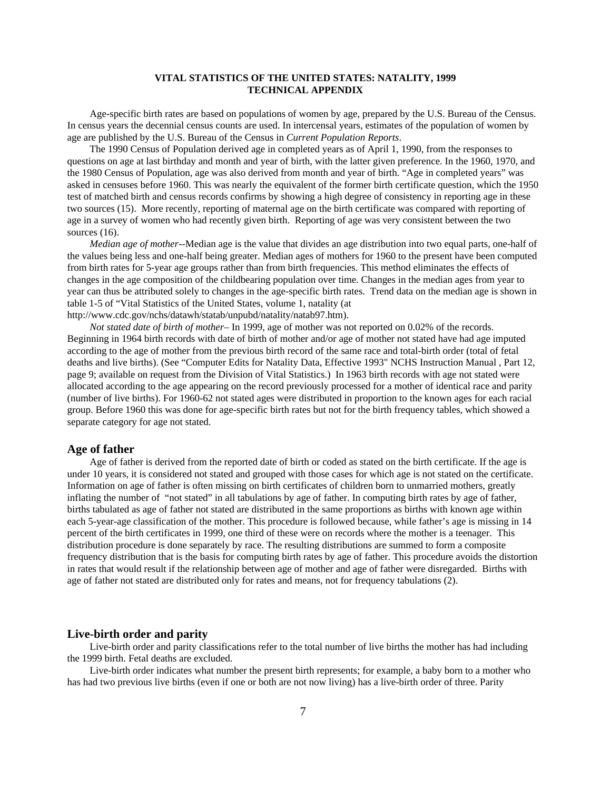Age-specific birth rates are based on populations of women by age, prepared by the U.S. Bureau of the Census. In census years the decennial census counts are used. In intercensal years, estimates of the population of women by age are published by the U.S. Bureau of the Census in *Current Population Reports*.

The 1990 Census of Population derived age in completed years as of April 1, 1990, from the responses to questions on age at last birthday and month and year of birth, with the latter given preference. In the 1960, 1970, and the 1980 Census of Population, age was also derived from month and year of birth. "Age in completed years" was asked in censuses before 1960. This was nearly the equivalent of the former birth certificate question, which the 1950 test of matched birth and census records confirms by showing a high degree of consistency in reporting age in these two sources (15). More recently, reporting of maternal age on the birth certificate was compared with reporting of age in a survey of women who had recently given birth. Reporting of age was very consistent between the two sources (16).

*Median age of mother*--Median age is the value that divides an age distribution into two equal parts, one-half of the values being less and one-half being greater. Median ages of mothers for 1960 to the present have been computed from birth rates for 5-year age groups rather than from birth frequencies. This method eliminates the effects of changes in the age composition of the childbearing population over time. Changes in the median ages from year to year can thus be attributed solely to changes in the age-specific birth rates. Trend data on the median age is shown in table 1-5 of "Vital Statistics of the United States, volume 1, natality (at http://www.cdc.gov/nchs/datawh/statab/unpubd/natality/natab97.htm).

*Not stated date of birth of mother*– In 1999, age of mother was not reported on 0.02% of the records. Beginning in 1964 birth records with date of birth of mother and/or age of mother not stated have had age imputed according to the age of mother from the previous birth record of the same race and total-birth order (total of fetal deaths and live births). (See "Computer Edits for Natality Data, Effective 1993" NCHS Instruction Manual , Part 12, page 9; available on request from the Division of Vital Statistics.) In 1963 birth records with age not stated were allocated according to the age appearing on the record previously processed for a mother of identical race and parity (number of live births). For 1960-62 not stated ages were distributed in proportion to the known ages for each racial group. Before 1960 this was done for age-specific birth rates but not for the birth frequency tables, which showed a separate category for age not stated.

#### **Age of father**

Age of father is derived from the reported date of birth or coded as stated on the birth certificate. If the age is under 10 years, it is considered not stated and grouped with those cases for which age is not stated on the certificate. Information on age of father is often missing on birth certificates of children born to unmarried mothers, greatly inflating the number of "not stated" in all tabulations by age of father. In computing birth rates by age of father, births tabulated as age of father not stated are distributed in the same proportions as births with known age within each 5-year-age classification of the mother. This procedure is followed because, while father's age is missing in 14 percent of the birth certificates in 1999, one third of these were on records where the mother is a teenager. This distribution procedure is done separately by race. The resulting distributions are summed to form a composite frequency distribution that is the basis for computing birth rates by age of father. This procedure avoids the distortion in rates that would result if the relationship between age of mother and age of father were disregarded. Births with age of father not stated are distributed only for rates and means, not for frequency tabulations (2).

#### **Live-birth order and parity**

Live-birth order and parity classifications refer to the total number of live births the mother has had including the 1999 birth. Fetal deaths are excluded.

Live-birth order indicates what number the present birth represents; for example, a baby born to a mother who has had two previous live births (even if one or both are not now living) has a live-birth order of three. Parity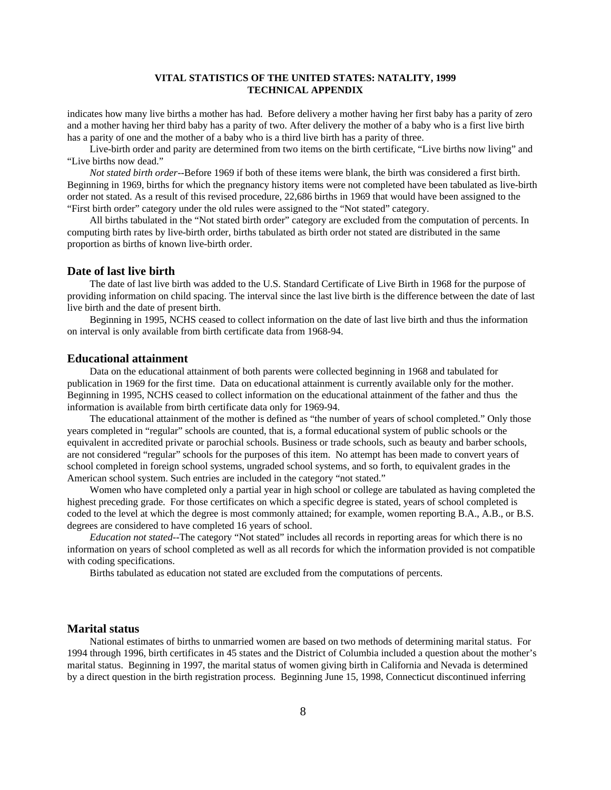indicates how many live births a mother has had. Before delivery a mother having her first baby has a parity of zero and a mother having her third baby has a parity of two. After delivery the mother of a baby who is a first live birth has a parity of one and the mother of a baby who is a third live birth has a parity of three.

Live-birth order and parity are determined from two items on the birth certificate, "Live births now living" and "Live births now dead."

*Not stated birth order*--Before 1969 if both of these items were blank, the birth was considered a first birth. Beginning in 1969, births for which the pregnancy history items were not completed have been tabulated as live-birth order not stated. As a result of this revised procedure, 22,686 births in 1969 that would have been assigned to the "First birth order" category under the old rules were assigned to the "Not stated" category.

All births tabulated in the "Not stated birth order" category are excluded from the computation of percents. In computing birth rates by live-birth order, births tabulated as birth order not stated are distributed in the same proportion as births of known live-birth order.

#### **Date of last live birth**

The date of last live birth was added to the U.S. Standard Certificate of Live Birth in 1968 for the purpose of providing information on child spacing. The interval since the last live birth is the difference between the date of last live birth and the date of present birth.

Beginning in 1995, NCHS ceased to collect information on the date of last live birth and thus the information on interval is only available from birth certificate data from 1968-94.

#### **Educational attainment**

Data on the educational attainment of both parents were collected beginning in 1968 and tabulated for publication in 1969 for the first time. Data on educational attainment is currently available only for the mother. Beginning in 1995, NCHS ceased to collect information on the educational attainment of the father and thus the information is available from birth certificate data only for 1969-94.

The educational attainment of the mother is defined as "the number of years of school completed." Only those years completed in "regular" schools are counted, that is, a formal educational system of public schools or the equivalent in accredited private or parochial schools. Business or trade schools, such as beauty and barber schools, are not considered "regular" schools for the purposes of this item. No attempt has been made to convert years of school completed in foreign school systems, ungraded school systems, and so forth, to equivalent grades in the American school system. Such entries are included in the category "not stated."

Women who have completed only a partial year in high school or college are tabulated as having completed the highest preceding grade. For those certificates on which a specific degree is stated, years of school completed is coded to the level at which the degree is most commonly attained; for example, women reporting B.A., A.B., or B.S. degrees are considered to have completed 16 years of school.

*Education not stated*--The category "Not stated" includes all records in reporting areas for which there is no information on years of school completed as well as all records for which the information provided is not compatible with coding specifications.

Births tabulated as education not stated are excluded from the computations of percents.

#### **Marital status**

National estimates of births to unmarried women are based on two methods of determining marital status. For 1994 through 1996, birth certificates in 45 states and the District of Columbia included a question about the mother's marital status. Beginning in 1997, the marital status of women giving birth in California and Nevada is determined by a direct question in the birth registration process. Beginning June 15, 1998, Connecticut discontinued inferring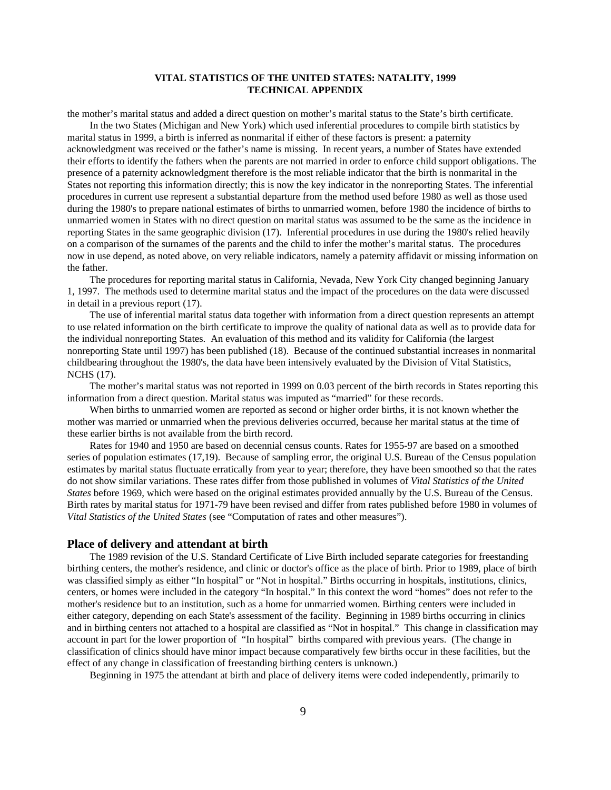the mother's marital status and added a direct question on mother's marital status to the State's birth certificate. In the two States (Michigan and New York) which used inferential procedures to compile birth statistics by

marital status in 1999, a birth is inferred as nonmarital if either of these factors is present: a paternity acknowledgment was received or the father's name is missing. In recent years, a number of States have extended their efforts to identify the fathers when the parents are not married in order to enforce child support obligations. The presence of a paternity acknowledgment therefore is the most reliable indicator that the birth is nonmarital in the States not reporting this information directly; this is now the key indicator in the nonreporting States. The inferential procedures in current use represent a substantial departure from the method used before 1980 as well as those used during the 1980's to prepare national estimates of births to unmarried women, before 1980 the incidence of births to unmarried women in States with no direct question on marital status was assumed to be the same as the incidence in reporting States in the same geographic division (17). Inferential procedures in use during the 1980's relied heavily on a comparison of the surnames of the parents and the child to infer the mother's marital status. The procedures now in use depend, as noted above, on very reliable indicators, namely a paternity affidavit or missing information on the father.

The procedures for reporting marital status in California, Nevada, New York City changed beginning January 1, 1997. The methods used to determine marital status and the impact of the procedures on the data were discussed in detail in a previous report (17).

The use of inferential marital status data together with information from a direct question represents an attempt to use related information on the birth certificate to improve the quality of national data as well as to provide data for the individual nonreporting States. An evaluation of this method and its validity for California (the largest nonreporting State until 1997) has been published (18). Because of the continued substantial increases in nonmarital childbearing throughout the 1980's, the data have been intensively evaluated by the Division of Vital Statistics, NCHS (17).

The mother's marital status was not reported in 1999 on 0.03 percent of the birth records in States reporting this information from a direct question. Marital status was imputed as "married" for these records.

When births to unmarried women are reported as second or higher order births, it is not known whether the mother was married or unmarried when the previous deliveries occurred, because her marital status at the time of these earlier births is not available from the birth record.

Rates for 1940 and 1950 are based on decennial census counts. Rates for 1955-97 are based on a smoothed series of population estimates (17,19). Because of sampling error, the original U.S. Bureau of the Census population estimates by marital status fluctuate erratically from year to year; therefore, they have been smoothed so that the rates do not show similar variations. These rates differ from those published in volumes of *Vital Statistics of the United States* before 1969, which were based on the original estimates provided annually by the U.S. Bureau of the Census. Birth rates by marital status for 1971-79 have been revised and differ from rates published before 1980 in volumes of *Vital Statistics of the United States* (see "Computation of rates and other measures").

#### **Place of delivery and attendant at birth**

The 1989 revision of the U.S. Standard Certificate of Live Birth included separate categories for freestanding birthing centers, the mother's residence, and clinic or doctor's office as the place of birth. Prior to 1989, place of birth was classified simply as either "In hospital" or "Not in hospital." Births occurring in hospitals, institutions, clinics, centers, or homes were included in the category "In hospital." In this context the word "homes" does not refer to the mother's residence but to an institution, such as a home for unmarried women. Birthing centers were included in either category, depending on each State's assessment of the facility. Beginning in 1989 births occurring in clinics and in birthing centers not attached to a hospital are classified as "Not in hospital." This change in classification may account in part for the lower proportion of "In hospital" births compared with previous years. (The change in classification of clinics should have minor impact because comparatively few births occur in these facilities, but the effect of any change in classification of freestanding birthing centers is unknown.)

Beginning in 1975 the attendant at birth and place of delivery items were coded independently, primarily to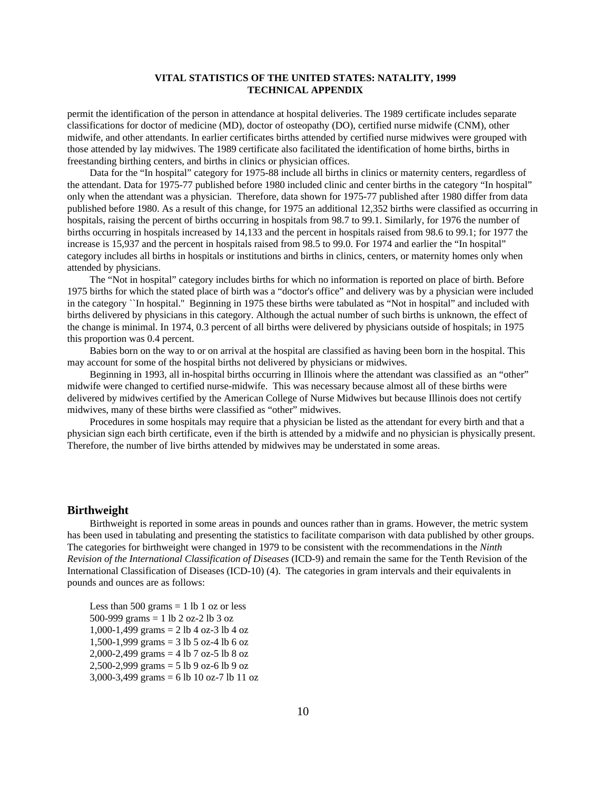permit the identification of the person in attendance at hospital deliveries. The 1989 certificate includes separate classifications for doctor of medicine (MD), doctor of osteopathy (DO), certified nurse midwife (CNM), other midwife, and other attendants. In earlier certificates births attended by certified nurse midwives were grouped with those attended by lay midwives. The 1989 certificate also facilitated the identification of home births, births in freestanding birthing centers, and births in clinics or physician offices.

Data for the "In hospital" category for 1975-88 include all births in clinics or maternity centers, regardless of the attendant. Data for 1975-77 published before 1980 included clinic and center births in the category "In hospital" only when the attendant was a physician. Therefore, data shown for 1975-77 published after 1980 differ from data published before 1980. As a result of this change, for 1975 an additional 12,352 births were classified as occurring in hospitals, raising the percent of births occurring in hospitals from 98.7 to 99.1. Similarly, for 1976 the number of births occurring in hospitals increased by 14,133 and the percent in hospitals raised from 98.6 to 99.1; for 1977 the increase is 15,937 and the percent in hospitals raised from 98.5 to 99.0. For 1974 and earlier the "In hospital" category includes all births in hospitals or institutions and births in clinics, centers, or maternity homes only when attended by physicians.

The "Not in hospital" category includes births for which no information is reported on place of birth. Before 1975 births for which the stated place of birth was a "doctor's office" and delivery was by a physician were included in the category ``In hospital.'' Beginning in 1975 these births were tabulated as "Not in hospital" and included with births delivered by physicians in this category. Although the actual number of such births is unknown, the effect of the change is minimal. In 1974, 0.3 percent of all births were delivered by physicians outside of hospitals; in 1975 this proportion was 0.4 percent.

Babies born on the way to or on arrival at the hospital are classified as having been born in the hospital. This may account for some of the hospital births not delivered by physicians or midwives.

Beginning in 1993, all in-hospital births occurring in Illinois where the attendant was classified as an "other" midwife were changed to certified nurse-midwife. This was necessary because almost all of these births were delivered by midwives certified by the American College of Nurse Midwives but because Illinois does not certify midwives, many of these births were classified as "other" midwives.

Procedures in some hospitals may require that a physician be listed as the attendant for every birth and that a physician sign each birth certificate, even if the birth is attended by a midwife and no physician is physically present. Therefore, the number of live births attended by midwives may be understated in some areas.

#### **Birthweight**

Birthweight is reported in some areas in pounds and ounces rather than in grams. However, the metric system has been used in tabulating and presenting the statistics to facilitate comparison with data published by other groups. The categories for birthweight were changed in 1979 to be consistent with the recommendations in the *Ninth Revision of the International Classification of Diseases* (ICD-9) and remain the same for the Tenth Revision of the International Classification of Diseases (ICD-10) (4). The categories in gram intervals and their equivalents in pounds and ounces are as follows:

Less than 500 grams  $= 1$  lb 1 oz or less 500-999 grams  $= 1$  lb 2 oz-2 lb 3 oz 1,000-1,499 grams = 2 lb 4 oz-3 lb 4 oz 1,500-1,999 grams = 3 lb 5 oz-4 lb 6 oz 2,000-2,499 grams = 4 lb 7 oz-5 lb 8 oz 2,500-2,999 grams = 5 lb 9 oz-6 lb 9 oz 3,000-3,499 grams = 6 lb 10 oz-7 lb 11 oz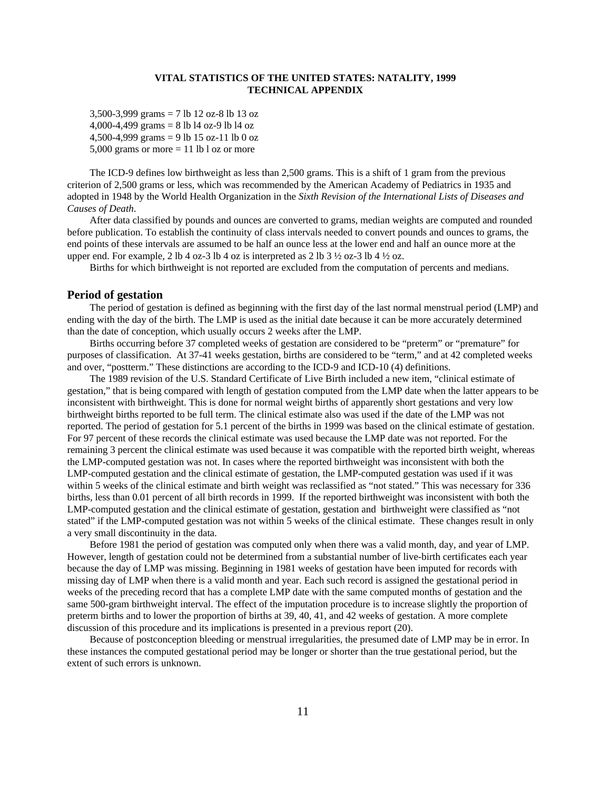3,500-3,999 grams = 7 lb 12 oz-8 lb 13 oz 4,000-4,499 grams = 8 lb l4 oz-9 lb l4 oz 4,500-4,999 grams = 9 lb 15 oz-11 lb 0 oz 5,000 grams or more  $= 11$  lb l oz or more

The ICD-9 defines low birthweight as less than 2,500 grams. This is a shift of 1 gram from the previous criterion of 2,500 grams or less, which was recommended by the American Academy of Pediatrics in 1935 and adopted in 1948 by the World Health Organization in the *Sixth Revision of the International Lists of Diseases and Causes of Death*.

After data classified by pounds and ounces are converted to grams, median weights are computed and rounded before publication. To establish the continuity of class intervals needed to convert pounds and ounces to grams, the end points of these intervals are assumed to be half an ounce less at the lower end and half an ounce more at the upper end. For example, 2 lb 4 oz-3 lb 4 oz is interpreted as 2 lb 3  $\frac{1}{2}$  oz-3 lb 4  $\frac{1}{2}$  oz.

Births for which birthweight is not reported are excluded from the computation of percents and medians.

#### **Period of gestation**

The period of gestation is defined as beginning with the first day of the last normal menstrual period (LMP) and ending with the day of the birth. The LMP is used as the initial date because it can be more accurately determined than the date of conception, which usually occurs 2 weeks after the LMP.

Births occurring before 37 completed weeks of gestation are considered to be "preterm" or "premature" for purposes of classification. At 37-41 weeks gestation, births are considered to be "term," and at 42 completed weeks and over, "postterm." These distinctions are according to the ICD-9 and ICD-10 (4) definitions.

The 1989 revision of the U.S. Standard Certificate of Live Birth included a new item, "clinical estimate of gestation," that is being compared with length of gestation computed from the LMP date when the latter appears to be inconsistent with birthweight. This is done for normal weight births of apparently short gestations and very low birthweight births reported to be full term. The clinical estimate also was used if the date of the LMP was not reported. The period of gestation for 5.1 percent of the births in 1999 was based on the clinical estimate of gestation. For 97 percent of these records the clinical estimate was used because the LMP date was not reported. For the remaining 3 percent the clinical estimate was used because it was compatible with the reported birth weight, whereas the LMP-computed gestation was not. In cases where the reported birthweight was inconsistent with both the LMP-computed gestation and the clinical estimate of gestation, the LMP-computed gestation was used if it was within 5 weeks of the clinical estimate and birth weight was reclassified as "not stated." This was necessary for 336 births, less than 0.01 percent of all birth records in 1999. If the reported birthweight was inconsistent with both the LMP-computed gestation and the clinical estimate of gestation, gestation and birthweight were classified as "not stated" if the LMP-computed gestation was not within 5 weeks of the clinical estimate. These changes result in only a very small discontinuity in the data.

Before 1981 the period of gestation was computed only when there was a valid month, day, and year of LMP. However, length of gestation could not be determined from a substantial number of live-birth certificates each year because the day of LMP was missing. Beginning in 1981 weeks of gestation have been imputed for records with missing day of LMP when there is a valid month and year. Each such record is assigned the gestational period in weeks of the preceding record that has a complete LMP date with the same computed months of gestation and the same 500-gram birthweight interval. The effect of the imputation procedure is to increase slightly the proportion of preterm births and to lower the proportion of births at 39, 40, 41, and 42 weeks of gestation. A more complete discussion of this procedure and its implications is presented in a previous report (20).

Because of postconception bleeding or menstrual irregularities, the presumed date of LMP may be in error. In these instances the computed gestational period may be longer or shorter than the true gestational period, but the extent of such errors is unknown.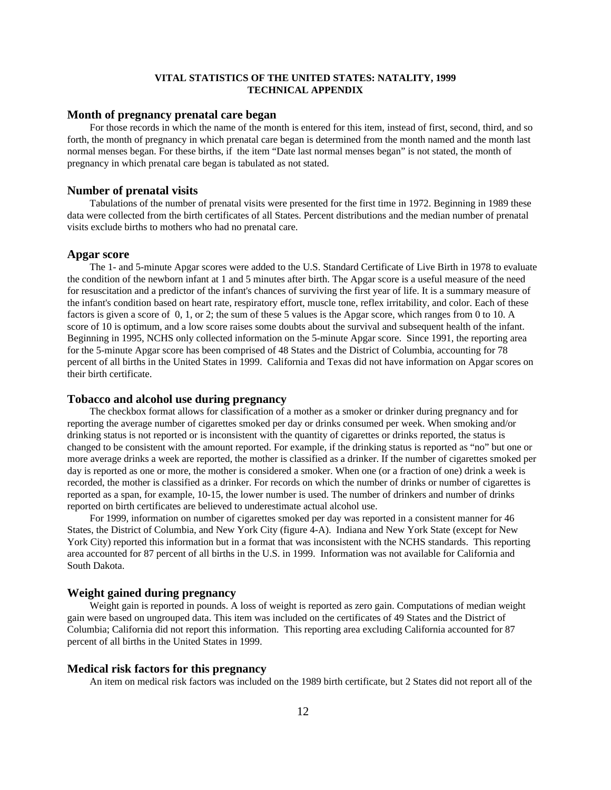#### **Month of pregnancy prenatal care began**

For those records in which the name of the month is entered for this item, instead of first, second, third, and so forth, the month of pregnancy in which prenatal care began is determined from the month named and the month last normal menses began. For these births, if the item "Date last normal menses began" is not stated, the month of pregnancy in which prenatal care began is tabulated as not stated.

#### **Number of prenatal visits**

Tabulations of the number of prenatal visits were presented for the first time in 1972. Beginning in 1989 these data were collected from the birth certificates of all States. Percent distributions and the median number of prenatal visits exclude births to mothers who had no prenatal care.

#### **Apgar score**

The 1- and 5-minute Apgar scores were added to the U.S. Standard Certificate of Live Birth in 1978 to evaluate the condition of the newborn infant at 1 and 5 minutes after birth. The Apgar score is a useful measure of the need for resuscitation and a predictor of the infant's chances of surviving the first year of life. It is a summary measure of the infant's condition based on heart rate, respiratory effort, muscle tone, reflex irritability, and color. Each of these factors is given a score of 0, 1, or 2; the sum of these 5 values is the Apgar score, which ranges from 0 to 10. A score of 10 is optimum, and a low score raises some doubts about the survival and subsequent health of the infant. Beginning in 1995, NCHS only collected information on the 5-minute Apgar score. Since 1991, the reporting area for the 5-minute Apgar score has been comprised of 48 States and the District of Columbia, accounting for 78 percent of all births in the United States in 1999. California and Texas did not have information on Apgar scores on their birth certificate.

#### **Tobacco and alcohol use during pregnancy**

The checkbox format allows for classification of a mother as a smoker or drinker during pregnancy and for reporting the average number of cigarettes smoked per day or drinks consumed per week. When smoking and/or drinking status is not reported or is inconsistent with the quantity of cigarettes or drinks reported, the status is changed to be consistent with the amount reported. For example, if the drinking status is reported as "no" but one or more average drinks a week are reported, the mother is classified as a drinker. If the number of cigarettes smoked per day is reported as one or more, the mother is considered a smoker. When one (or a fraction of one) drink a week is recorded, the mother is classified as a drinker. For records on which the number of drinks or number of cigarettes is reported as a span, for example, 10-15, the lower number is used. The number of drinkers and number of drinks reported on birth certificates are believed to underestimate actual alcohol use.

For 1999, information on number of cigarettes smoked per day was reported in a consistent manner for 46 States, the District of Columbia, and New York City (figure 4-A). Indiana and New York State (except for New York City) reported this information but in a format that was inconsistent with the NCHS standards. This reporting area accounted for 87 percent of all births in the U.S. in 1999. Information was not available for California and South Dakota.

#### **Weight gained during pregnancy**

Weight gain is reported in pounds. A loss of weight is reported as zero gain. Computations of median weight gain were based on ungrouped data. This item was included on the certificates of 49 States and the District of Columbia; California did not report this information. This reporting area excluding California accounted for 87 percent of all births in the United States in 1999.

#### **Medical risk factors for this pregnancy**

An item on medical risk factors was included on the 1989 birth certificate, but 2 States did not report all of the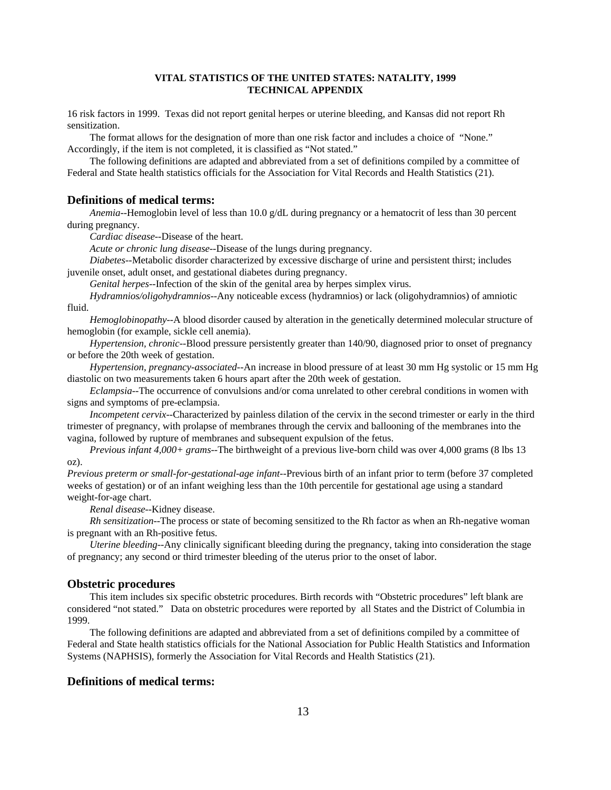16 risk factors in 1999. Texas did not report genital herpes or uterine bleeding, and Kansas did not report Rh sensitization.

The format allows for the designation of more than one risk factor and includes a choice of "None." Accordingly, if the item is not completed, it is classified as "Not stated."

The following definitions are adapted and abbreviated from a set of definitions compiled by a committee of Federal and State health statistics officials for the Association for Vital Records and Health Statistics (21).

#### **Definitions of medical terms:**

*Anemia*--Hemoglobin level of less than 10.0 g/dL during pregnancy or a hematocrit of less than 30 percent during pregnancy.

*Cardiac disease*--Disease of the heart.

*Acute or chronic lung disease*--Disease of the lungs during pregnancy.

*Diabetes*--Metabolic disorder characterized by excessive discharge of urine and persistent thirst; includes juvenile onset, adult onset, and gestational diabetes during pregnancy.

*Genital herpes*--Infection of the skin of the genital area by herpes simplex virus.

*Hydramnios/oligohydramnios*--Any noticeable excess (hydramnios) or lack (oligohydramnios) of amniotic fluid.

*Hemoglobinopathy*--A blood disorder caused by alteration in the genetically determined molecular structure of hemoglobin (for example, sickle cell anemia).

*Hypertension, chronic*--Blood pressure persistently greater than 140/90, diagnosed prior to onset of pregnancy or before the 20th week of gestation.

*Hypertension, pregnancy-associated*--An increase in blood pressure of at least 30 mm Hg systolic or 15 mm Hg diastolic on two measurements taken 6 hours apart after the 20th week of gestation.

*Eclampsia*--The occurrence of convulsions and/or coma unrelated to other cerebral conditions in women with signs and symptoms of pre-eclampsia.

*Incompetent cervix*--Characterized by painless dilation of the cervix in the second trimester or early in the third trimester of pregnancy, with prolapse of membranes through the cervix and ballooning of the membranes into the vagina, followed by rupture of membranes and subsequent expulsion of the fetus.

*Previous infant 4,000+ grams*--The birthweight of a previous live-born child was over 4,000 grams (8 lbs 13 oz).

*Previous preterm or small-for-gestational-age infant--*Previous birth of an infant prior to term (before 37 completed weeks of gestation) or of an infant weighing less than the 10th percentile for gestational age using a standard weight-for-age chart.

*Renal disease*--Kidney disease.

*Rh sensitization*--The process or state of becoming sensitized to the Rh factor as when an Rh-negative woman is pregnant with an Rh-positive fetus.

*Uterine bleeding*--Any clinically significant bleeding during the pregnancy, taking into consideration the stage of pregnancy; any second or third trimester bleeding of the uterus prior to the onset of labor.

#### **Obstetric procedures**

This item includes six specific obstetric procedures. Birth records with "Obstetric procedures" left blank are considered "not stated." Data on obstetric procedures were reported by all States and the District of Columbia in 1999.

The following definitions are adapted and abbreviated from a set of definitions compiled by a committee of Federal and State health statistics officials for the National Association for Public Health Statistics and Information Systems (NAPHSIS), formerly the Association for Vital Records and Health Statistics (21).

## **Definitions of medical terms:**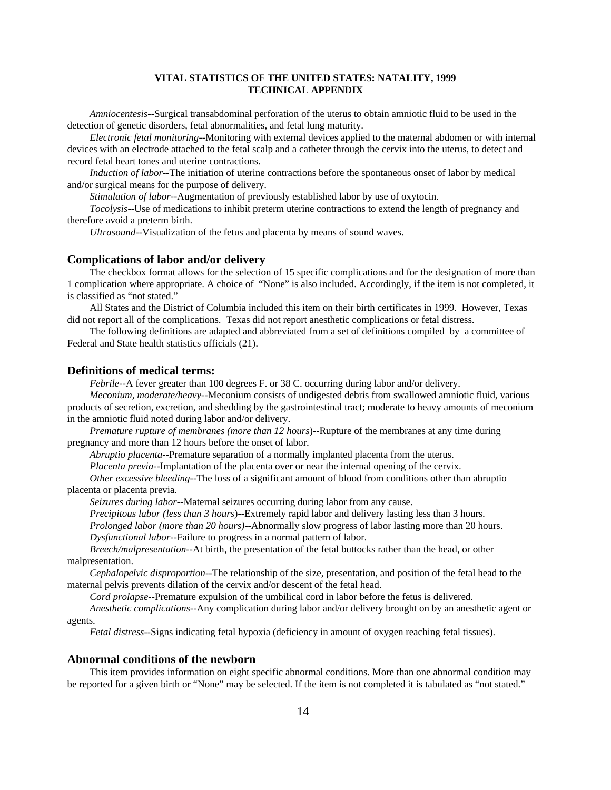*Amniocentesis*--Surgical transabdominal perforation of the uterus to obtain amniotic fluid to be used in the detection of genetic disorders, fetal abnormalities, and fetal lung maturity.

*Electronic fetal monitoring*--Monitoring with external devices applied to the maternal abdomen or with internal devices with an electrode attached to the fetal scalp and a catheter through the cervix into the uterus, to detect and record fetal heart tones and uterine contractions.

*Induction of labor*--The initiation of uterine contractions before the spontaneous onset of labor by medical and/or surgical means for the purpose of delivery.

*Stimulation of labor*--Augmentation of previously established labor by use of oxytocin.

*Tocolysis*--Use of medications to inhibit preterm uterine contractions to extend the length of pregnancy and therefore avoid a preterm birth.

*Ultrasound*--Visualization of the fetus and placenta by means of sound waves.

#### **Complications of labor and/or delivery**

The checkbox format allows for the selection of 15 specific complications and for the designation of more than 1 complication where appropriate. A choice of "None" is also included. Accordingly, if the item is not completed, it is classified as "not stated."

All States and the District of Columbia included this item on their birth certificates in 1999. However, Texas did not report all of the complications. Texas did not report anesthetic complications or fetal distress.

The following definitions are adapted and abbreviated from a set of definitions compiled by a committee of Federal and State health statistics officials (21).

#### **Definitions of medical terms:**

*Febrile*--A fever greater than 100 degrees F. or 38 C. occurring during labor and/or delivery.

*Meconium, moderate/heavy*--Meconium consists of undigested debris from swallowed amniotic fluid, various products of secretion, excretion, and shedding by the gastrointestinal tract; moderate to heavy amounts of meconium in the amniotic fluid noted during labor and/or delivery.

*Premature rupture of membranes (more than 12 hours*)--Rupture of the membranes at any time during pregnancy and more than 12 hours before the onset of labor.

*Abruptio placenta*--Premature separation of a normally implanted placenta from the uterus.

*Placenta previa*--Implantation of the placenta over or near the internal opening of the cervix.

*Other excessive bleeding*--The loss of a significant amount of blood from conditions other than abruptio placenta or placenta previa.

*Seizures during labor*--Maternal seizures occurring during labor from any cause.

*Precipitous labor (less than 3 hours*)--Extremely rapid labor and delivery lasting less than 3 hours.

*Prolonged labor (more than 20 hours)*--Abnormally slow progress of labor lasting more than 20 hours. *Dysfunctional labor*--Failure to progress in a normal pattern of labor.

*Breech/malpresentation*--At birth, the presentation of the fetal buttocks rather than the head, or other malpresentation.

*Cephalopelvic disproportion*--The relationship of the size, presentation, and position of the fetal head to the maternal pelvis prevents dilation of the cervix and/or descent of the fetal head.

*Cord prolapse*--Premature expulsion of the umbilical cord in labor before the fetus is delivered.

*Anesthetic complications*--Any complication during labor and/or delivery brought on by an anesthetic agent or agents.

*Fetal distress*--Signs indicating fetal hypoxia (deficiency in amount of oxygen reaching fetal tissues).

#### **Abnormal conditions of the newborn**

This item provides information on eight specific abnormal conditions. More than one abnormal condition may be reported for a given birth or "None" may be selected. If the item is not completed it is tabulated as "not stated."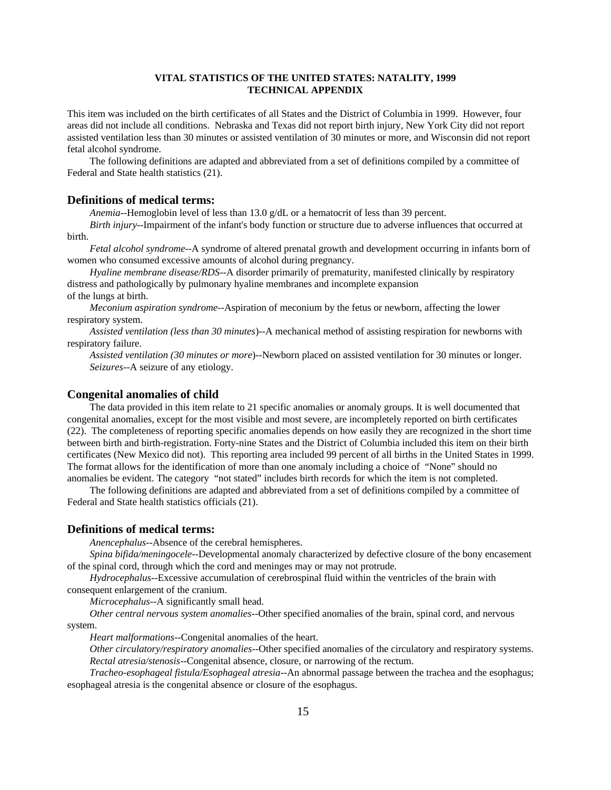This item was included on the birth certificates of all States and the District of Columbia in 1999. However, four areas did not include all conditions. Nebraska and Texas did not report birth injury, New York City did not report assisted ventilation less than 30 minutes or assisted ventilation of 30 minutes or more, and Wisconsin did not report fetal alcohol syndrome.

The following definitions are adapted and abbreviated from a set of definitions compiled by a committee of Federal and State health statistics (21).

#### **Definitions of medical terms:**

*Anemia*--Hemoglobin level of less than 13.0 g/dL or a hematocrit of less than 39 percent.

*Birth injury*--Impairment of the infant's body function or structure due to adverse influences that occurred at birth.

*Fetal alcohol syndrome*--A syndrome of altered prenatal growth and development occurring in infants born of women who consumed excessive amounts of alcohol during pregnancy.

*Hyaline membrane disease/RDS*--A disorder primarily of prematurity, manifested clinically by respiratory distress and pathologically by pulmonary hyaline membranes and incomplete expansion of the lungs at birth.

*Meconium aspiration syndrome*--Aspiration of meconium by the fetus or newborn, affecting the lower respiratory system.

*Assisted ventilation (less than 30 minutes*)--A mechanical method of assisting respiration for newborns with respiratory failure.

*Assisted ventilation (30 minutes or more*)--Newborn placed on assisted ventilation for 30 minutes or longer. *Seizures-*-A seizure of any etiology.

#### **Congenital anomalies of child**

The data provided in this item relate to 21 specific anomalies or anomaly groups. It is well documented that congenital anomalies, except for the most visible and most severe, are incompletely reported on birth certificates (22). The completeness of reporting specific anomalies depends on how easily they are recognized in the short time between birth and birth-registration. Forty-nine States and the District of Columbia included this item on their birth certificates (New Mexico did not). This reporting area included 99 percent of all births in the United States in 1999. The format allows for the identification of more than one anomaly including a choice of "None" should no anomalies be evident. The category "not stated" includes birth records for which the item is not completed.

The following definitions are adapted and abbreviated from a set of definitions compiled by a committee of Federal and State health statistics officials (21).

#### **Definitions of medical terms:**

*Anencephalus*--Absence of the cerebral hemispheres.

*Spina bifida/meningocele*--Developmental anomaly characterized by defective closure of the bony encasement of the spinal cord, through which the cord and meninges may or may not protrude.

*Hydrocephalus*--Excessive accumulation of cerebrospinal fluid within the ventricles of the brain with consequent enlargement of the cranium.

*Microcephalus*--A significantly small head.

*Other central nervous system anomalies*--Other specified anomalies of the brain, spinal cord, and nervous system.

*Heart malformations*--Congenital anomalies of the heart.

*Other circulatory/respiratory anomalies*--Other specified anomalies of the circulatory and respiratory systems. *Rectal atresia/stenosis*--Congenital absence, closure, or narrowing of the rectum.

*Tracheo-esophageal fistula/Esophageal atresia*--An abnormal passage between the trachea and the esophagus; esophageal atresia is the congenital absence or closure of the esophagus.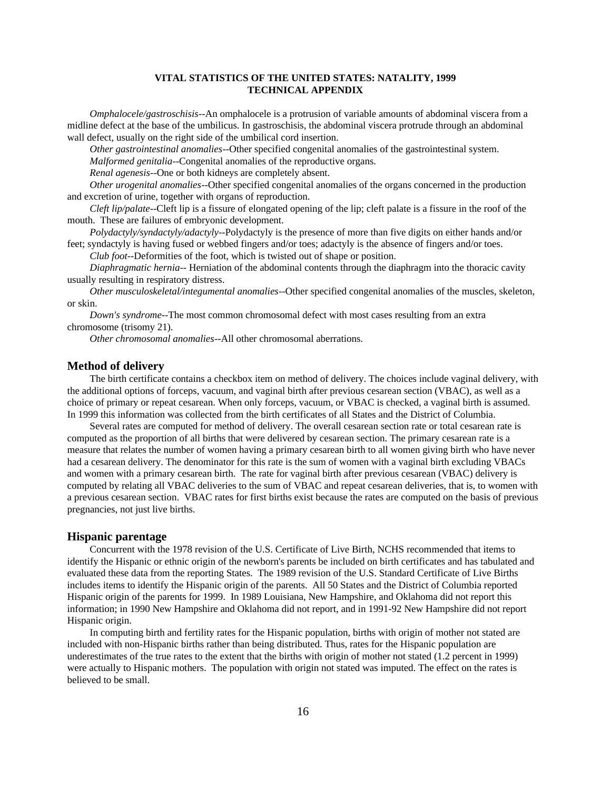*Omphalocele/gastroschisis*--An omphalocele is a protrusion of variable amounts of abdominal viscera from a midline defect at the base of the umbilicus. In gastroschisis, the abdominal viscera protrude through an abdominal wall defect, usually on the right side of the umbilical cord insertion.

*Other gastrointestinal anomalies*--Other specified congenital anomalies of the gastrointestinal system.

*Malformed genitalia*--Congenital anomalies of the reproductive organs.

*Renal agenesis*--One or both kidneys are completely absent.

*Other urogenital anomalies*--Other specified congenital anomalies of the organs concerned in the production and excretion of urine, together with organs of reproduction.

*Cleft lip/palate*--Cleft lip is a fissure of elongated opening of the lip; cleft palate is a fissure in the roof of the mouth. These are failures of embryonic development.

*Polydactyly/syndactyly/adactyly*--Polydactyly is the presence of more than five digits on either hands and/or feet; syndactyly is having fused or webbed fingers and/or toes; adactyly is the absence of fingers and/or toes.

*Club foot*--Deformities of the foot, which is twisted out of shape or position.

*Diaphragmatic hernia*-- Herniation of the abdominal contents through the diaphragm into the thoracic cavity usually resulting in respiratory distress.

*Other musculoskeletal/integumental anomalies*--Other specified congenital anomalies of the muscles, skeleton, or skin.

*Down's syndrome*--The most common chromosomal defect with most cases resulting from an extra chromosome (trisomy 21).

*Other chromosomal anomalies*--All other chromosomal aberrations.

#### **Method of delivery**

The birth certificate contains a checkbox item on method of delivery. The choices include vaginal delivery, with the additional options of forceps, vacuum, and vaginal birth after previous cesarean section (VBAC), as well as a choice of primary or repeat cesarean. When only forceps, vacuum, or VBAC is checked, a vaginal birth is assumed. In 1999 this information was collected from the birth certificates of all States and the District of Columbia.

Several rates are computed for method of delivery. The overall cesarean section rate or total cesarean rate is computed as the proportion of all births that were delivered by cesarean section. The primary cesarean rate is a measure that relates the number of women having a primary cesarean birth to all women giving birth who have never had a cesarean delivery. The denominator for this rate is the sum of women with a vaginal birth excluding VBACs and women with a primary cesarean birth. The rate for vaginal birth after previous cesarean (VBAC) delivery is computed by relating all VBAC deliveries to the sum of VBAC and repeat cesarean deliveries, that is, to women with a previous cesarean section. VBAC rates for first births exist because the rates are computed on the basis of previous pregnancies, not just live births.

#### **Hispanic parentage**

Concurrent with the 1978 revision of the U.S. Certificate of Live Birth, NCHS recommended that items to identify the Hispanic or ethnic origin of the newborn's parents be included on birth certificates and has tabulated and evaluated these data from the reporting States. The 1989 revision of the U.S. Standard Certificate of Live Births includes items to identify the Hispanic origin of the parents. All 50 States and the District of Columbia reported Hispanic origin of the parents for 1999. In 1989 Louisiana, New Hampshire, and Oklahoma did not report this information; in 1990 New Hampshire and Oklahoma did not report, and in 1991-92 New Hampshire did not report Hispanic origin.

In computing birth and fertility rates for the Hispanic population, births with origin of mother not stated are included with non-Hispanic births rather than being distributed. Thus, rates for the Hispanic population are underestimates of the true rates to the extent that the births with origin of mother not stated (1.2 percent in 1999) were actually to Hispanic mothers. The population with origin not stated was imputed. The effect on the rates is believed to be small.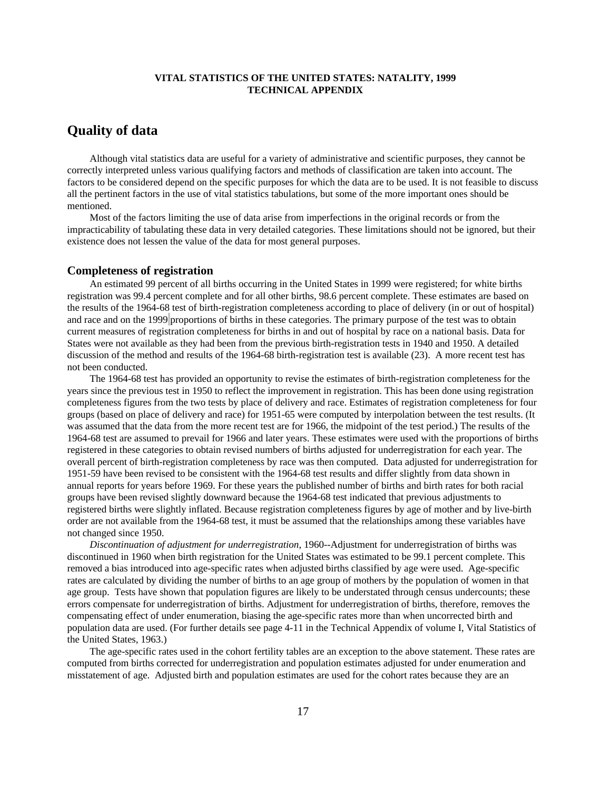# **Quality of data**

Although vital statistics data are useful for a variety of administrative and scientific purposes, they cannot be correctly interpreted unless various qualifying factors and methods of classification are taken into account. The factors to be considered depend on the specific purposes for which the data are to be used. It is not feasible to discuss all the pertinent factors in the use of vital statistics tabulations, but some of the more important ones should be mentioned.

Most of the factors limiting the use of data arise from imperfections in the original records or from the impracticability of tabulating these data in very detailed categories. These limitations should not be ignored, but their existence does not lessen the value of the data for most general purposes.

#### **Completeness of registration**

An estimated 99 percent of all births occurring in the United States in 1999 were registered; for white births registration was 99.4 percent complete and for all other births, 98.6 percent complete. These estimates are based on the results of the 1964-68 test of birth-registration completeness according to place of delivery (in or out of hospital) and race and on the 1999 proportions of births in these categories. The primary purpose of the test was to obtain current measures of registration completeness for births in and out of hospital by race on a national basis. Data for States were not available as they had been from the previous birth-registration tests in 1940 and 1950. A detailed discussion of the method and results of the 1964-68 birth-registration test is available (23). A more recent test has not been conducted.

The 1964-68 test has provided an opportunity to revise the estimates of birth-registration completeness for the years since the previous test in 1950 to reflect the improvement in registration. This has been done using registration completeness figures from the two tests by place of delivery and race. Estimates of registration completeness for four groups (based on place of delivery and race) for 1951-65 were computed by interpolation between the test results. (It was assumed that the data from the more recent test are for 1966, the midpoint of the test period.) The results of the 1964-68 test are assumed to prevail for 1966 and later years. These estimates were used with the proportions of births registered in these categories to obtain revised numbers of births adjusted for underregistration for each year. The overall percent of birth-registration completeness by race was then computed. Data adjusted for underregistration for 1951-59 have been revised to be consistent with the 1964-68 test results and differ slightly from data shown in annual reports for years before 1969. For these years the published number of births and birth rates for both racial groups have been revised slightly downward because the 1964-68 test indicated that previous adjustments to registered births were slightly inflated. Because registration completeness figures by age of mother and by live-birth order are not available from the 1964-68 test, it must be assumed that the relationships among these variables have not changed since 1950.

*Discontinuation of adjustment for underregistration*, 1960--Adjustment for underregistration of births was discontinued in 1960 when birth registration for the United States was estimated to be 99.1 percent complete. This removed a bias introduced into age-specific rates when adjusted births classified by age were used. Age-specific rates are calculated by dividing the number of births to an age group of mothers by the population of women in that age group. Tests have shown that population figures are likely to be understated through census undercounts; these errors compensate for underregistration of births. Adjustment for underregistration of births, therefore, removes the compensating effect of under enumeration, biasing the age-specific rates more than when uncorrected birth and population data are used. (For further details see page 4-11 in the Technical Appendix of volume I, Vital Statistics of the United States, 1963.)

The age-specific rates used in the cohort fertility tables are an exception to the above statement. These rates are computed from births corrected for underregistration and population estimates adjusted for under enumeration and misstatement of age. Adjusted birth and population estimates are used for the cohort rates because they are an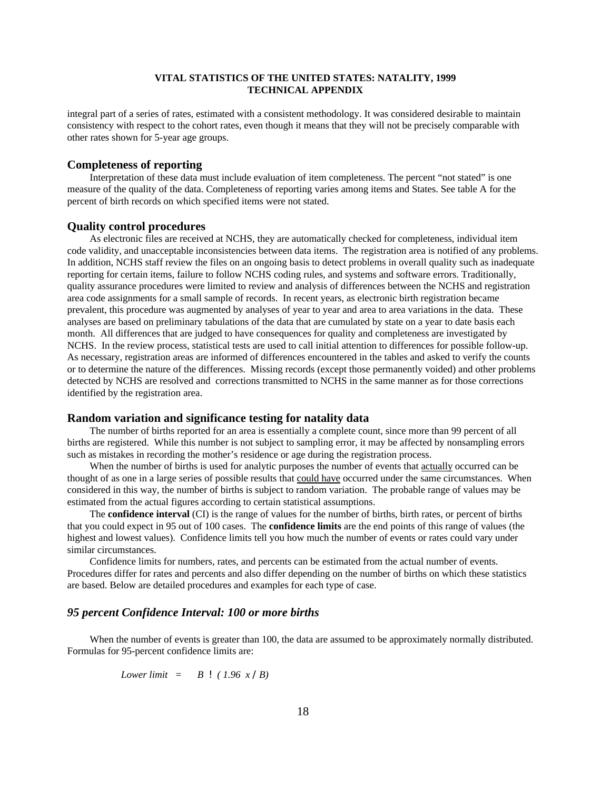integral part of a series of rates, estimated with a consistent methodology. It was considered desirable to maintain consistency with respect to the cohort rates, even though it means that they will not be precisely comparable with other rates shown for 5-year age groups.

#### **Completeness of reporting**

Interpretation of these data must include evaluation of item completeness. The percent "not stated" is one measure of the quality of the data. Completeness of reporting varies among items and States. See table A for the percent of birth records on which specified items were not stated.

#### **Quality control procedures**

As electronic files are received at NCHS, they are automatically checked for completeness, individual item code validity, and unacceptable inconsistencies between data items. The registration area is notified of any problems. In addition, NCHS staff review the files on an ongoing basis to detect problems in overall quality such as inadequate reporting for certain items, failure to follow NCHS coding rules, and systems and software errors. Traditionally, quality assurance procedures were limited to review and analysis of differences between the NCHS and registration area code assignments for a small sample of records. In recent years, as electronic birth registration became prevalent, this procedure was augmented by analyses of year to year and area to area variations in the data. These analyses are based on preliminary tabulations of the data that are cumulated by state on a year to date basis each month. All differences that are judged to have consequences for quality and completeness are investigated by NCHS. In the review process, statistical tests are used to call initial attention to differences for possible follow-up. As necessary, registration areas are informed of differences encountered in the tables and asked to verify the counts or to determine the nature of the differences. Missing records (except those permanently voided) and other problems detected by NCHS are resolved and corrections transmitted to NCHS in the same manner as for those corrections identified by the registration area.

#### **Random variation and significance testing for natality data**

The number of births reported for an area is essentially a complete count, since more than 99 percent of all births are registered. While this number is not subject to sampling error, it may be affected by nonsampling errors such as mistakes in recording the mother's residence or age during the registration process.

When the number of births is used for analytic purposes the number of events that actually occurred can be thought of as one in a large series of possible results that could have occurred under the same circumstances. When considered in this way, the number of births is subject to random variation. The probable range of values may be estimated from the actual figures according to certain statistical assumptions.

The **confidence interval** (CI) is the range of values for the number of births, birth rates, or percent of births that you could expect in 95 out of 100 cases. The **confidence limits** are the end points of this range of values (the highest and lowest values). Confidence limits tell you how much the number of events or rates could vary under similar circumstances.

Confidence limits for numbers, rates, and percents can be estimated from the actual number of events. Procedures differ for rates and percents and also differ depending on the number of births on which these statistics are based. Below are detailed procedures and examples for each type of case.

#### *95 percent Confidence Interval: 100 or more births*

When the number of events is greater than 100, the data are assumed to be approximately normally distributed. Formulas for 95-percent confidence limits are:

*Lower limit = B ! ( 1.96 x /B)*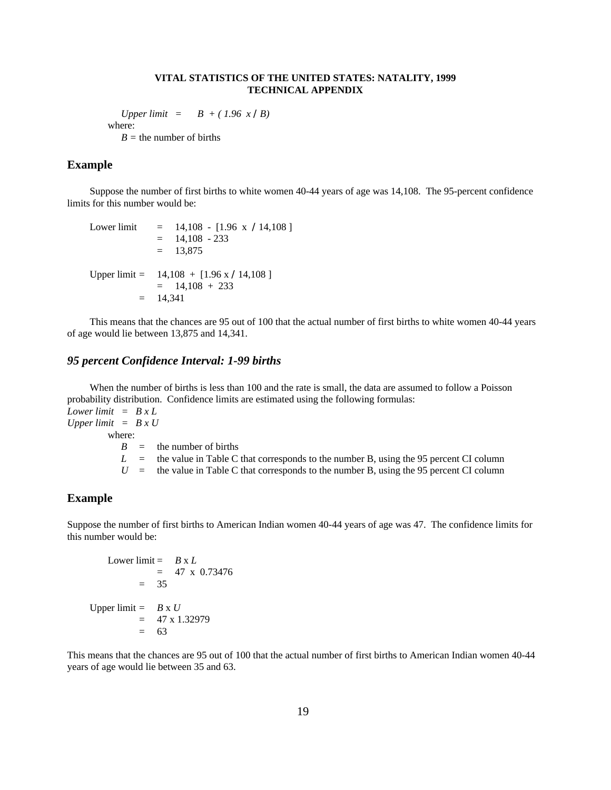*Upper limit* =  $B + (1.96 \times /B)$ where: *B =* the number of births

## **Example**

Suppose the number of first births to white women 40-44 years of age was 14,108. The 95-percent confidence limits for this number would be:

```
Lower limit = 14,108 - [1.96 \times 14,108]= 14,108 - 233= 13,875Upper limit = 14,108 + [1.96 \times 14,108]= 14,108 + 233= 14,341
```
This means that the chances are 95 out of 100 that the actual number of first births to white women 40-44 years of age would lie between 13,875 and 14,341.

#### *95 percent Confidence Interval: 1-99 births*

When the number of births is less than 100 and the rate is small, the data are assumed to follow a Poisson probability distribution. Confidence limits are estimated using the following formulas:

*Lower limit = B x L Upper limit = B x U*

where:

 $B =$  the number of births

 $L =$  the value in Table C that corresponds to the number B, using the 95 percent CI column

 $U =$  the value in Table C that corresponds to the number B, using the 95 percent CI column

#### **Example**

Suppose the number of first births to American Indian women 40-44 years of age was 47. The confidence limits for this number would be:

```
Lower limit = B \times L= 47 \times 0.73476= 35
Upper limit = B \times U= 47 \times 1.32979= 63
```
This means that the chances are 95 out of 100 that the actual number of first births to American Indian women 40-44 years of age would lie between 35 and 63.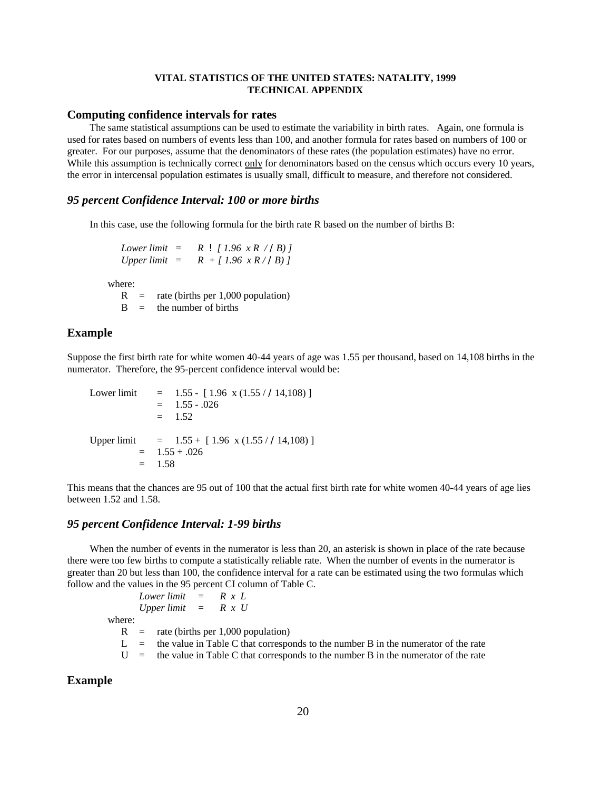#### **Computing confidence intervals for rates**

The same statistical assumptions can be used to estimate the variability in birth rates. Again, one formula is used for rates based on numbers of events less than 100, and another formula for rates based on numbers of 100 or greater. For our purposes, assume that the denominators of these rates (the population estimates) have no error. While this assumption is technically correct only for denominators based on the census which occurs every 10 years, the error in intercensal population estimates is usually small, difficult to measure, and therefore not considered.

#### *95 percent Confidence Interval: 100 or more births*

In this case, use the following formula for the birth rate R based on the number of births B:

*Lower limit* =  $R$  *!*  $\lceil 1.96 \times R \rceil$  / *B*) *l Upper limit = R + [ 1.96 x R / /B) ]*

where:

 $R =$  rate (births per 1,000 population)  $B =$  the number of births

#### **Example**

Suppose the first birth rate for white women 40-44 years of age was 1.55 per thousand, based on 14,108 births in the numerator. Therefore, the 95-percent confidence interval would be:

Lower limit =  $1.55 - [1.96 \times (1.55 / 14,108)]$  $= 1.55 - 0.026$  $=$  1.52 Upper limit =  $1.55 + [1.96 \times (1.55 / 14,108)]$  $=$  1.55 + .026  $= 1.58$ 

This means that the chances are 95 out of 100 that the actual first birth rate for white women 40-44 years of age lies between 1.52 and 1.58.

#### *95 percent Confidence Interval: 1-99 births*

When the number of events in the numerator is less than 20, an asterisk is shown in place of the rate because there were too few births to compute a statistically reliable rate. When the number of events in the numerator is greater than 20 but less than 100, the confidence interval for a rate can be estimated using the two formulas which follow and the values in the 95 percent CI column of Table C.

*Lower limit = R x L Upper limit = R x U*

where:

 $R =$  rate (births per 1,000 population)

 $L =$  the value in Table C that corresponds to the number B in the numerator of the rate

 $U =$  the value in Table C that corresponds to the number B in the numerator of the rate

#### **Example**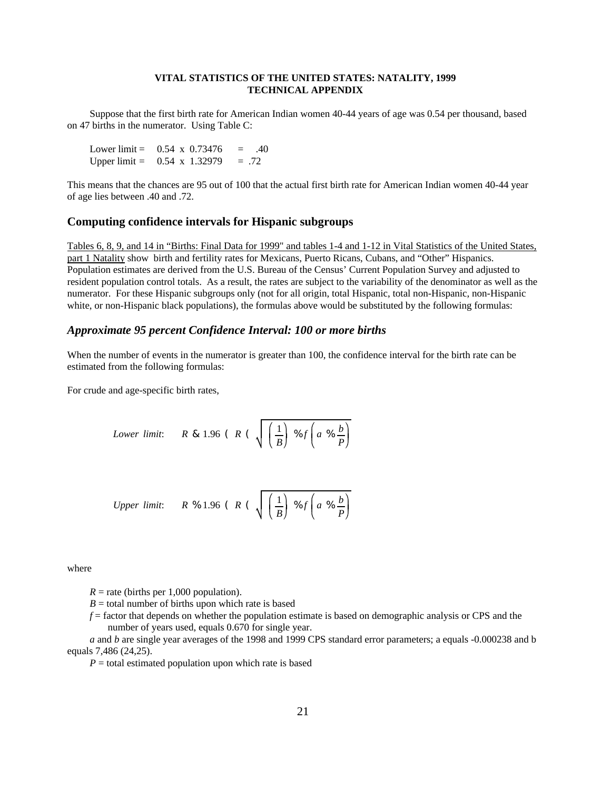Suppose that the first birth rate for American Indian women 40-44 years of age was 0.54 per thousand, based on 47 births in the numerator. Using Table C:

Lower limit =  $0.54 \times 0.73476 = .40$ Upper limit =  $0.54 \times 1.32979 = .72$ 

This means that the chances are 95 out of 100 that the actual first birth rate for American Indian women 40-44 year of age lies between .40 and .72.

#### **Computing confidence intervals for Hispanic subgroups**

Tables 6, 8, 9, and 14 in "Births: Final Data for 1999" and tables 1-4 and 1-12 in Vital Statistics of the United States, part 1 Natality show birth and fertility rates for Mexicans, Puerto Ricans, Cubans, and "Other" Hispanics. Population estimates are derived from the U.S. Bureau of the Census' Current Population Survey and adjusted to resident population control totals. As a result, the rates are subject to the variability of the denominator as well as the numerator. For these Hispanic subgroups only (not for all origin, total Hispanic, total non-Hispanic, non-Hispanic white, or non-Hispanic black populations), the formulas above would be substituted by the following formulas:

#### *Approximate 95 percent Confidence Interval: 100 or more births*

When the number of events in the numerator is greater than 100, the confidence interval for the birth rate can be estimated from the following formulas:

For crude and age-specific birth rates,

Lower limit: 
$$
R \& 1.96 \ (R \ (\sqrt{\frac{1}{B}}) \% f \left(a \% \frac{b}{P}\right))
$$

*Upper limit:* 
$$
R % 1.96 (R (\sqrt{\frac{1}{B}}) % f(a % \frac{b}{P})
$$

where

 $R =$  rate (births per 1,000 population).

 $B =$  total number of births upon which rate is based

*f* = factor that depends on whether the population estimate is based on demographic analysis or CPS and the number of years used, equals 0.670 for single year.

*a* and *b* are single year averages of the 1998 and 1999 CPS standard error parameters; a equals -0.000238 and b equals 7,486 (24,25).

 $P =$  total estimated population upon which rate is based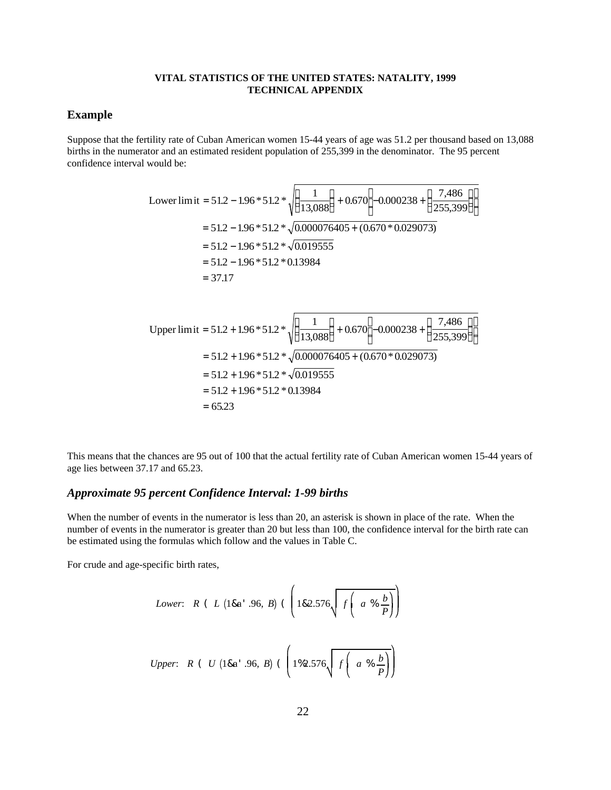## **Example**

Suppose that the fertility rate of Cuban American women 15-44 years of age was 51.2 per thousand based on 13,088 births in the numerator and an estimated resident population of 255,399 in the denominator. The 95 percent confidence interval would be:

Lower limit = 51.2 - 1.96 \* 51.2 \* 
$$
\sqrt{\left(\frac{1}{13,088}\right)} + 0.670 \left[ -0.000238 + \left(\frac{7,486}{255,399}\right) \right]
$$
  
\n= 51.2 - 1.96 \* 51.2 \*  $\sqrt{0.000076405 + (0.670 * 0.029073)}$   
\n= 51.2 - 1.96 \* 51.2 \*  $\sqrt{0.019555}$   
\n= 51.2 - 1.96 \* 51.2 \* 0.13984  
\n= 37.17

Upper limit = 
$$
51.2 + 1.96 * 51.2 * \sqrt{\left(\frac{1}{13,088}\right)} + 0.670 \left[-0.000238 + \left(\frac{7,486}{255,399}\right)\right]
$$
  
\n=  $51.2 + 1.96 * 51.2 * \sqrt{0.000076405} + (0.670 * 0.029073)$   
\n=  $51.2 + 1.96 * 51.2 * \sqrt{0.019555}$   
\n=  $51.2 + 1.96 * 51.2 * 0.13984$   
\n= 65.23

This means that the chances are 95 out of 100 that the actual fertility rate of Cuban American women 15-44 years of age lies between 37.17 and 65.23.

#### *Approximate 95 percent Confidence Interval: 1-99 births*

When the number of events in the numerator is less than 20, an asterisk is shown in place of the rate. When the number of events in the numerator is greater than 20 but less than 100, the confidence interval for the birth rate can be estimated using the formulas which follow and the values in Table C.

For crude and age-specific birth rates,

Lower: 
$$
R
$$
 ( $L$  (18a'.96,  $B$ ) ( $\left(182.576\sqrt{f\left(a\sqrt[8]{\frac{b}{p}}\right)}\right)$   
\nUpper:  $R$  ( $U$  (18a'.96,  $B$ ) ( $\left(1\%2.576\sqrt{f\left(a\sqrt[8]{\frac{b}{p}}\right)}\right)$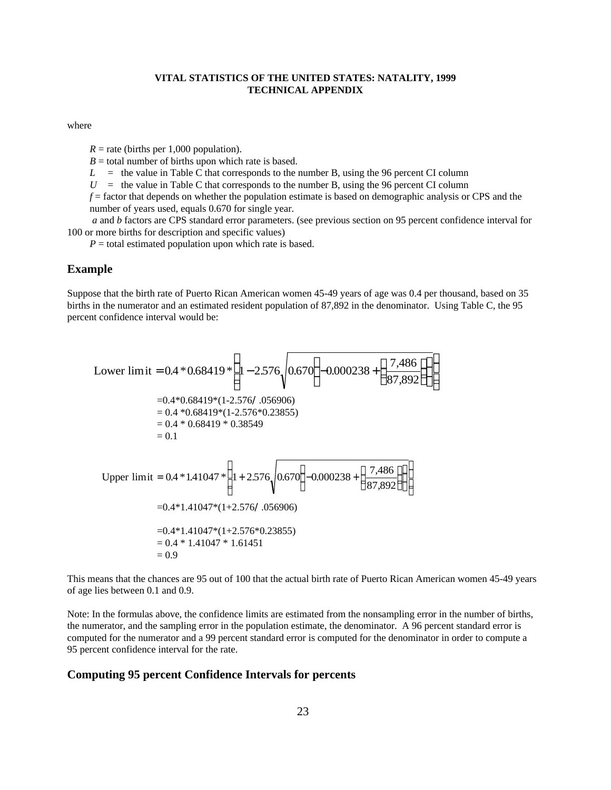#### where

 $R =$  rate (births per 1,000 population).

 $B =$  total number of births upon which rate is based.

 $L =$  the value in Table C that corresponds to the number B, using the 96 percent CI column

 $U =$  the value in Table C that corresponds to the number B, using the 96 percent CI column

*f* = factor that depends on whether the population estimate is based on demographic analysis or CPS and the number of years used, equals 0.670 for single year.

 *a* and *b* factors are CPS standard error parameters. (see previous section on 95 percent confidence interval for 100 or more births for description and specific values)

 $P =$  total estimated population upon which rate is based.

#### **Example**

Suppose that the birth rate of Puerto Rican American women 45-49 years of age was 0.4 per thousand, based on 35 births in the numerator and an estimated resident population of 87,892 in the denominator. Using Table C, the 95 percent confidence interval would be:

Lower limit = 0.4 \* 0.68419 \* 
$$
\left( 1 - 2.576 \sqrt{0.670 \left( -0.000238 + \left( \frac{7,486}{87,892} \right) \right)} \right)
$$
  
\n= 0.4 \* 0.68419 \* (1-2.576/.056906)  
\n= 0.4 \* 0.68419 \* (1-2.576\*0.23855)  
\n= 0.4 \* 0.68419 \* 0.38549  
\n= 0.1  
\nUpper limit = 0.4 \* 1.41047 \*  $\left( 1 + 2.576 \sqrt{0.670 \left( -0.000238 + \left( \frac{7,486}{87,892} \right) \right)} \right)$   
\n= 0.4 \* 1.41047 \* (1+2.576/.056906)  
\n= 0.4 \* 1.41047 \* (1+2.576\*0.23855)  
\n= 0.4 \* 1.41047 \* 1.61451  
\n= 0.9

This means that the chances are 95 out of 100 that the actual birth rate of Puerto Rican American women 45-49 years of age lies between 0.1 and 0.9.

Note: In the formulas above, the confidence limits are estimated from the nonsampling error in the number of births, the numerator, and the sampling error in the population estimate, the denominator. A 96 percent standard error is computed for the numerator and a 99 percent standard error is computed for the denominator in order to compute a 95 percent confidence interval for the rate.

#### **Computing 95 percent Confidence Intervals for percents**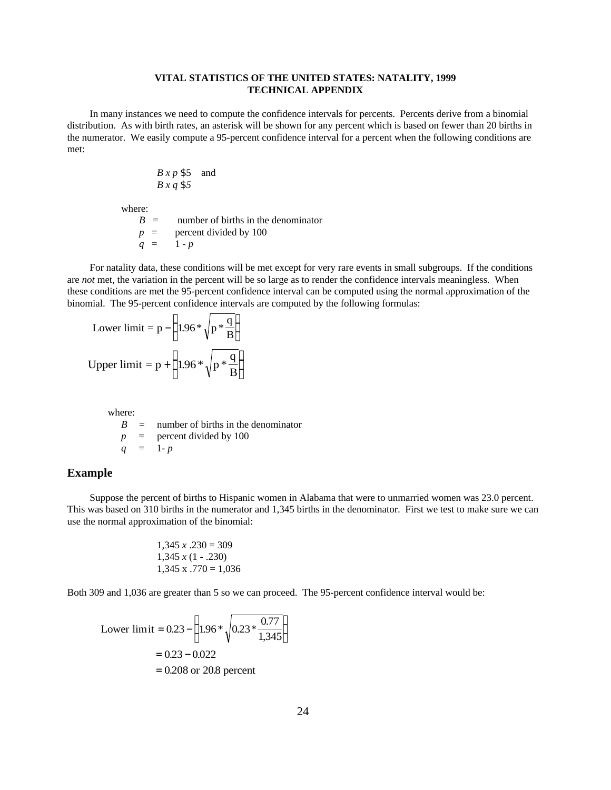In many instances we need to compute the confidence intervals for percents. Percents derive from a binomial distribution. As with birth rates, an asterisk will be shown for any percent which is based on fewer than 20 births in the numerator. We easily compute a 95-percent confidence interval for a percent when the following conditions are met:

$$
B \, x \, p \, \$5 \quad \text{and} \quad B \, x \, q \, \$5
$$

where:

 $B =$  number of births in the denominator  $p =$  percent divided by 100  $q = 1 - p$ 

For natality data, these conditions will be met except for very rare events in small subgroups. If the conditions are *not* met, the variation in the percent will be so large as to render the confidence intervals meaningless. When these conditions are met the 95-percent confidence interval can be computed using the normal approximation of the binomial. The 95-percent confidence intervals are computed by the following formulas:

Lower limit = p - 
$$
\left(1.96 * \sqrt{p * \frac{q}{B}}\right)
$$
  
Upper limit = p +  $\left(1.96 * \sqrt{p * \frac{q}{B}}\right)$ 

where:

$$
B =
$$
 number of births in the denominator  

$$
p =
$$
percent divided by 100  

$$
q = 1-p
$$

#### **Example**

Suppose the percent of births to Hispanic women in Alabama that were to unmarried women was 23.0 percent. This was based on 310 births in the numerator and 1,345 births in the denominator. First we test to make sure we can use the normal approximation of the binomial:

$$
1,345 \times .230 = 309
$$
  

$$
1,345 \times (1 - .230)
$$
  

$$
1,345 \times .770 = 1,036
$$

Both 309 and 1,036 are greater than 5 so we can proceed. The 95-percent confidence interval would be:

Lower limit = 
$$
0.23 - \left(1.96 * \sqrt{0.23 * \frac{0.77}{1,345}}\right)
$$
  
= 0.23 - 0.022  
= 0.208 or 20.8 percent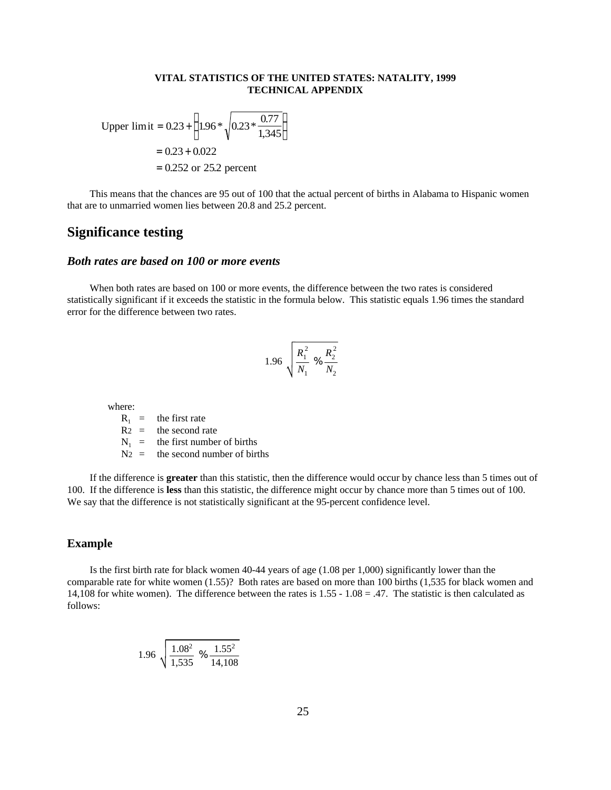Upper limit = 
$$
0.23 + \left(1.96 * \sqrt{0.23 * \frac{0.77}{1,345}}\right)
$$
  
= 0.23 + 0.022  
= 0.252 or 25.2 percent

This means that the chances are 95 out of 100 that the actual percent of births in Alabama to Hispanic women that are to unmarried women lies between 20.8 and 25.2 percent.

## **Significance testing**

#### *Both rates are based on 100 or more events*

When both rates are based on 100 or more events, the difference between the two rates is considered statistically significant if it exceeds the statistic in the formula below. This statistic equals 1.96 times the standard error for the difference between two rates.

$$
1.96\sqrt{\frac{R_1^2}{N_1}}\% \frac{R_2^2}{N_2}
$$

where:

 $R_1$  = the first rate  $R2 =$  the second rate  $N_1$  = the first number of births  $N_2$  = the second number of births

If the difference is **greater** than this statistic, then the difference would occur by chance less than 5 times out of 100. If the difference is **less** than this statistic, the difference might occur by chance more than 5 times out of 100. We say that the difference is not statistically significant at the 95-percent confidence level.

#### **Example**

Is the first birth rate for black women 40-44 years of age (1.08 per 1,000) significantly lower than the comparable rate for white women (1.55)? Both rates are based on more than 100 births (1,535 for black women and 14,108 for white women). The difference between the rates is  $1.55 - 1.08 = .47$ . The statistic is then calculated as follows:

$$
1.96\ \sqrt{\frac{1.08^2}{1,535}\ \%\ \frac{1.55^2}{14,108}}
$$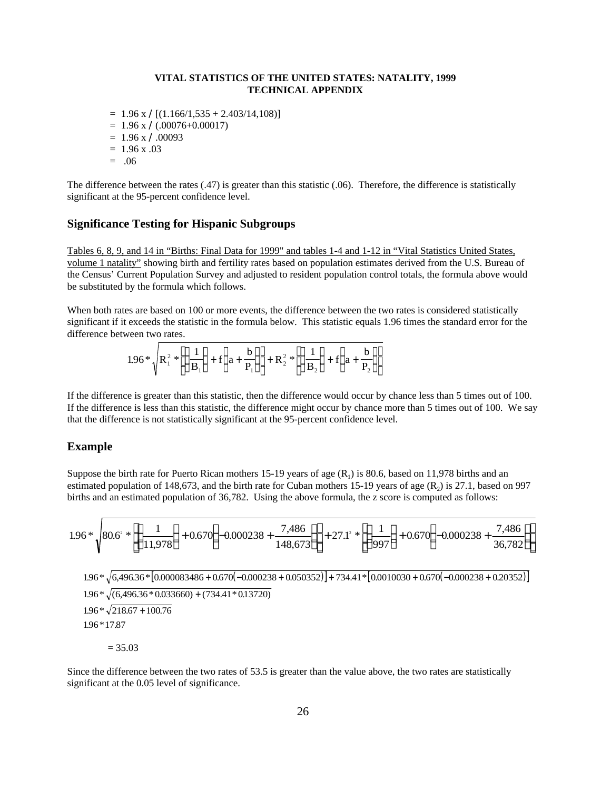- $= 1.96$  x  $\angle$ [(1.166/1,535 + 2.403/14,108)]
- $= 1.96$  x  $\angle (0.00076 + 0.00017)$
- $= 1.96 \text{ x} / 0.00093$
- $= 1.96 x .03$
- $=.06$

The difference between the rates (.47) is greater than this statistic (.06). Therefore, the difference is statistically significant at the 95-percent confidence level.

#### **Significance Testing for Hispanic Subgroups**

Tables 6, 8, 9, and 14 in "Births: Final Data for 1999" and tables 1-4 and 1-12 in "Vital Statistics United States, volume 1 natality" showing birth and fertility rates based on population estimates derived from the U.S. Bureau of the Census' Current Population Survey and adjusted to resident population control totals, the formula above would be substituted by the formula which follows.

When both rates are based on 100 or more events, the difference between the two rates is considered statistically significant if it exceeds the statistic in the formula below. This statistic equals 1.96 times the standard error for the difference between two rates.

$$
1.96 * \sqrt{R_1^2 * \left[ \left( \frac{1}{B_1} \right) + f \left( a + \frac{b}{P_1} \right) \right]} + R_2^2 * \left[ \left( \frac{1}{B_2} \right) + f \left( a + \frac{b}{P_2} \right) \right]
$$

If the difference is greater than this statistic, then the difference would occur by chance less than 5 times out of 100. If the difference is less than this statistic, the difference might occur by chance more than 5 times out of 100. We say that the difference is not statistically significant at the 95-percent confidence level.

#### **Example**

Suppose the birth rate for Puerto Rican mothers 15-19 years of age  $(R<sub>1</sub>)$  is 80.6, based on 11,978 births and an estimated population of 148,673, and the birth rate for Cuban mothers 15-19 years of age  $(R_2)$  is 27.1, based on 997 births and an estimated population of 36,782. Using the above formula, the z score is computed as follows:

$$
1.96 * \sqrt{80.6^{\circ}} * \left[ \left( \frac{1}{11,978} \right) + 0.670 \left( -0.000238 + \frac{7,486}{148,673} \right) \right] + 27.1^{\circ}} * \left[ \left( \frac{1}{997} \right) + 0.670 \left( -0.000238 + \frac{7,486}{36,782} \right) \right]
$$

 $1.96 * \sqrt{6,496.36 * |0.000083486 + 0.670(-0.000238 + 0.050352)}$  + 734.41  $* |0.0010030 + 0.670(-0.000238 + 0.20352)|$  $1.96 * \sqrt{(6,496.36 * 0.033660) + (734.41 * 0.13720)}$  $1.96 * \sqrt{218.67} + 100.76$  $1.96 * 17.87$ 

 $= 35.03$ 

Since the difference between the two rates of 53.5 is greater than the value above, the two rates are statistically significant at the 0.05 level of significance.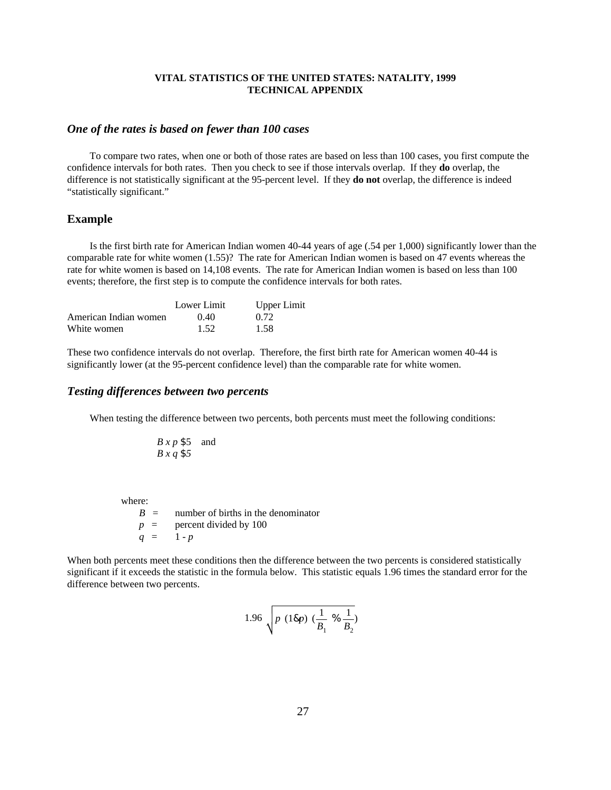#### *One of the rates is based on fewer than 100 cases*

To compare two rates, when one or both of those rates are based on less than 100 cases, you first compute the confidence intervals for both rates. Then you check to see if those intervals overlap. If they **do** overlap, the difference is not statistically significant at the 95-percent level. If they **do not** overlap, the difference is indeed "statistically significant."

#### **Example**

Is the first birth rate for American Indian women 40-44 years of age (.54 per 1,000) significantly lower than the comparable rate for white women (1.55)? The rate for American Indian women is based on 47 events whereas the rate for white women is based on 14,108 events. The rate for American Indian women is based on less than 100 events; therefore, the first step is to compute the confidence intervals for both rates.

|                       | Lower Limit | <b>Upper Limit</b> |
|-----------------------|-------------|--------------------|
| American Indian women | (0.40)      | 0.72               |
| White women           | 1.52        | 1.58               |

These two confidence intervals do not overlap. Therefore, the first birth rate for American women 40-44 is significantly lower (at the 95-percent confidence level) than the comparable rate for white women.

#### *Testing differences between two percents*

When testing the difference between two percents, both percents must meet the following conditions:

$$
B \times p \$ 5
$$
 and  

$$
B \times q \$ 5
$$

where:

 $B =$  number of births in the denominator  $p =$  percent divided by 100  $q = 1 - p$ 

When both percents meet these conditions then the difference between the two percents is considered statistically significant if it exceeds the statistic in the formula below. This statistic equals 1.96 times the standard error for the difference between two percents.

$$
1.96 \sqrt{p (18p) (\frac{1}{B_1} % \frac{1}{B_2})^2 + \frac{1}{2}(18p) (\frac{1}{16p})^2 + \frac{1}{2}(18p) (\frac{1}{16p})^2}
$$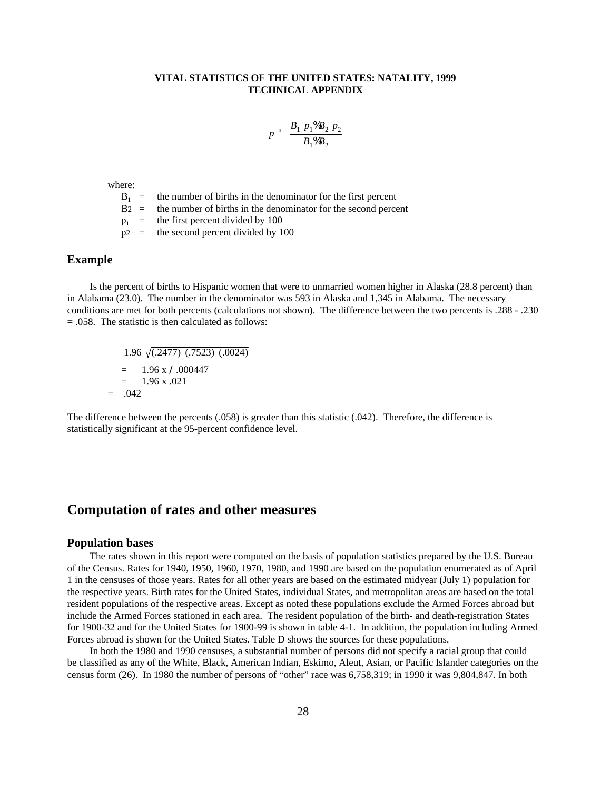$$
p \quad \frac{B_1 \ p_1 \% B_2 \ p_2}{B_1 \% B_2}
$$

where:

 $B_1$  = the number of births in the denominator for the first percent

 $B2 =$  the number of births in the denominator for the second percent

 $p_1$  = the first percent divided by 100<br> $p_2$  = the second percent divided by 1 the second percent divided by 100

#### **Example**

Is the percent of births to Hispanic women that were to unmarried women higher in Alaska (28.8 percent) than in Alabama (23.0). The number in the denominator was 593 in Alaska and 1,345 in Alabama. The necessary conditions are met for both percents (calculations not shown). The difference between the two percents is .288 - .230 = .058. The statistic is then calculated as follows:

1.96 (.2477) (.7523) (.0024)  $= 1.96 \times \lambda .000447$  $= 1.96 \times 0.021$  $= .042$ 

The difference between the percents (.058) is greater than this statistic (.042). Therefore, the difference is statistically significant at the 95-percent confidence level.

# **Computation of rates and other measures**

#### **Population bases**

The rates shown in this report were computed on the basis of population statistics prepared by the U.S. Bureau of the Census. Rates for 1940, 1950, 1960, 1970, 1980, and 1990 are based on the population enumerated as of April 1 in the censuses of those years. Rates for all other years are based on the estimated midyear (July 1) population for the respective years. Birth rates for the United States, individual States, and metropolitan areas are based on the total resident populations of the respective areas. Except as noted these populations exclude the Armed Forces abroad but include the Armed Forces stationed in each area. The resident population of the birth- and death-registration States for 1900-32 and for the United States for 1900-99 is shown in table 4-1. In addition, the population including Armed Forces abroad is shown for the United States. Table D shows the sources for these populations.

In both the 1980 and 1990 censuses, a substantial number of persons did not specify a racial group that could be classified as any of the White, Black, American Indian, Eskimo, Aleut, Asian, or Pacific Islander categories on the census form (26). In 1980 the number of persons of "other" race was 6,758,319; in 1990 it was 9,804,847. In both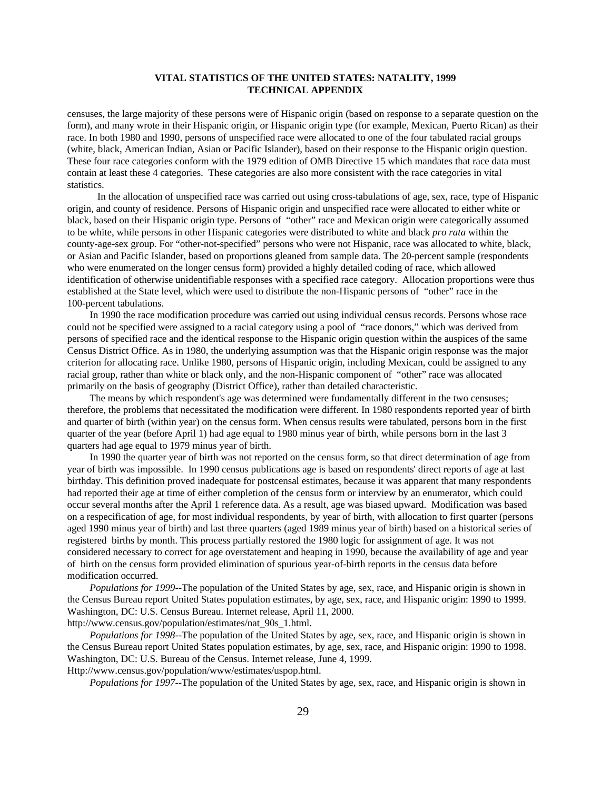censuses, the large majority of these persons were of Hispanic origin (based on response to a separate question on the form), and many wrote in their Hispanic origin, or Hispanic origin type (for example, Mexican, Puerto Rican) as their race. In both 1980 and 1990, persons of unspecified race were allocated to one of the four tabulated racial groups (white, black, American Indian, Asian or Pacific Islander), based on their response to the Hispanic origin question. These four race categories conform with the 1979 edition of OMB Directive 15 which mandates that race data must contain at least these 4 categories. These categories are also more consistent with the race categories in vital statistics.

 In the allocation of unspecified race was carried out using cross-tabulations of age, sex, race, type of Hispanic origin, and county of residence. Persons of Hispanic origin and unspecified race were allocated to either white or black, based on their Hispanic origin type. Persons of "other" race and Mexican origin were categorically assumed to be white, while persons in other Hispanic categories were distributed to white and black *pro rata* within the county-age-sex group. For "other-not-specified" persons who were not Hispanic, race was allocated to white, black, or Asian and Pacific Islander, based on proportions gleaned from sample data. The 20-percent sample (respondents who were enumerated on the longer census form) provided a highly detailed coding of race, which allowed identification of otherwise unidentifiable responses with a specified race category. Allocation proportions were thus established at the State level, which were used to distribute the non-Hispanic persons of "other" race in the 100-percent tabulations.

In 1990 the race modification procedure was carried out using individual census records. Persons whose race could not be specified were assigned to a racial category using a pool of "race donors," which was derived from persons of specified race and the identical response to the Hispanic origin question within the auspices of the same Census District Office. As in 1980, the underlying assumption was that the Hispanic origin response was the major criterion for allocating race. Unlike 1980, persons of Hispanic origin, including Mexican, could be assigned to any racial group, rather than white or black only, and the non-Hispanic component of "other" race was allocated primarily on the basis of geography (District Office), rather than detailed characteristic.

The means by which respondent's age was determined were fundamentally different in the two censuses; therefore, the problems that necessitated the modification were different. In 1980 respondents reported year of birth and quarter of birth (within year) on the census form. When census results were tabulated, persons born in the first quarter of the year (before April 1) had age equal to 1980 minus year of birth, while persons born in the last 3 quarters had age equal to 1979 minus year of birth.

In 1990 the quarter year of birth was not reported on the census form, so that direct determination of age from year of birth was impossible. In 1990 census publications age is based on respondents' direct reports of age at last birthday. This definition proved inadequate for postcensal estimates, because it was apparent that many respondents had reported their age at time of either completion of the census form or interview by an enumerator, which could occur several months after the April 1 reference data. As a result, age was biased upward. Modification was based on a respecification of age, for most individual respondents, by year of birth, with allocation to first quarter (persons aged 1990 minus year of birth) and last three quarters (aged 1989 minus year of birth) based on a historical series of registered births by month. This process partially restored the 1980 logic for assignment of age. It was not considered necessary to correct for age overstatement and heaping in 1990, because the availability of age and year of birth on the census form provided elimination of spurious year-of-birth reports in the census data before modification occurred.

*Populations for 1999*--The population of the United States by age, sex, race, and Hispanic origin is shown in the Census Bureau report United States population estimates, by age, sex, race, and Hispanic origin: 1990 to 1999. Washington, DC: U.S. Census Bureau. Internet release, April 11, 2000.

http://www.census.gov/population/estimates/nat\_90s\_1.html.

*Populations for 1998*--The population of the United States by age, sex, race, and Hispanic origin is shown in the Census Bureau report United States population estimates, by age, sex, race, and Hispanic origin: 1990 to 1998. Washington, DC: U.S. Bureau of the Census. Internet release, June 4, 1999.

Http://www.census.gov/population/www/estimates/uspop.html.

*Populations for 1997*--The population of the United States by age, sex, race, and Hispanic origin is shown in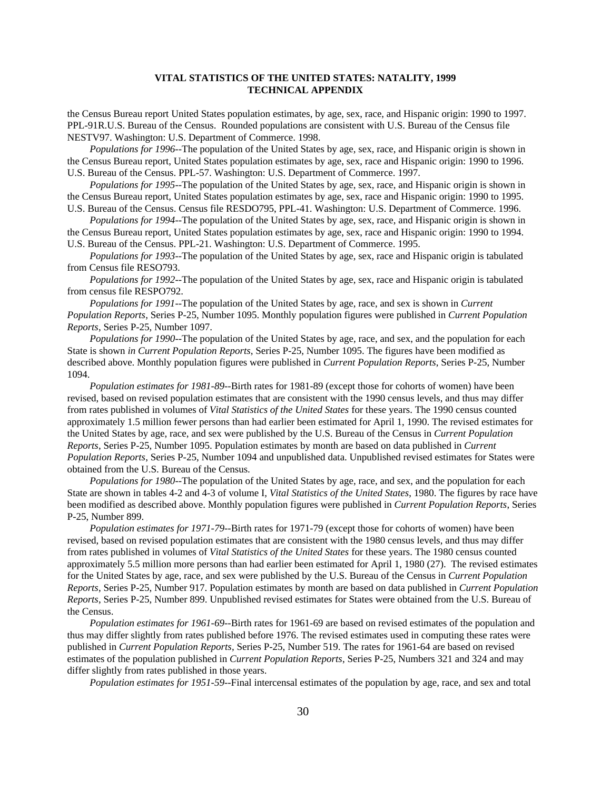the Census Bureau report United States population estimates, by age, sex, race, and Hispanic origin: 1990 to 1997. PPL-91R.U.S. Bureau of the Census. Rounded populations are consistent with U.S. Bureau of the Census file NESTV97. Washington: U.S. Department of Commerce. 1998.

*Populations for 1996*--The population of the United States by age, sex, race, and Hispanic origin is shown in the Census Bureau report, United States population estimates by age, sex, race and Hispanic origin: 1990 to 1996. U.S. Bureau of the Census. PPL-57. Washington: U.S. Department of Commerce. 1997.

*Populations for 1995*--The population of the United States by age, sex, race, and Hispanic origin is shown in the Census Bureau report, United States population estimates by age, sex, race and Hispanic origin: 1990 to 1995.

U.S. Bureau of the Census. Census file RESDO795, PPL-41. Washington: U.S. Department of Commerce. 1996. *Populations for 1994*--The population of the United States by age, sex, race, and Hispanic origin is shown in

the Census Bureau report, United States population estimates by age, sex, race and Hispanic origin: 1990 to 1994. U.S. Bureau of the Census. PPL-21. Washington: U.S. Department of Commerce. 1995.

*Populations for 1993*--The population of the United States by age, sex, race and Hispanic origin is tabulated from Census file RESO793.

*Populations for 1992*--The population of the United States by age, sex, race and Hispanic origin is tabulated from census file RESPO792.

*Populations for 1991*--The population of the United States by age, race, and sex is shown in *Current Population Reports*, Series P-25, Number 1095. Monthly population figures were published in *Current Population Reports*, Series P-25, Number 1097.

*Populations for 1990*--The population of the United States by age, race, and sex, and the population for each State is shown *in Current Population Reports*, Series P-25, Number 1095. The figures have been modified as described above. Monthly population figures were published in *Current Population Reports*, Series P-25, Number 1094.

*Population estimates for 1981-89*--Birth rates for 1981-89 (except those for cohorts of women) have been revised, based on revised population estimates that are consistent with the 1990 census levels, and thus may differ from rates published in volumes of *Vital Statistics of the United States* for these years. The 1990 census counted approximately 1.5 million fewer persons than had earlier been estimated for April 1, 1990. The revised estimates for the United States by age, race, and sex were published by the U.S. Bureau of the Census in *Current Population Reports*, Series P-25, Number 1095. Population estimates by month are based on data published in *Current Population Reports*, Series P-25, Number 1094 and unpublished data. Unpublished revised estimates for States were obtained from the U.S. Bureau of the Census.

*Populations for 1980*--The population of the United States by age, race, and sex, and the population for each State are shown in tables 4-2 and 4-3 of volume I, *Vital Statistics of the United States*, 1980. The figures by race have been modified as described above. Monthly population figures were published in *Current Population Reports*, Series P-25, Number 899.

*Population estimates for 1971-79*--Birth rates for 1971-79 (except those for cohorts of women) have been revised, based on revised population estimates that are consistent with the 1980 census levels, and thus may differ from rates published in volumes of *Vital Statistics of the United States* for these years. The 1980 census counted approximately 5.5 million more persons than had earlier been estimated for April 1, 1980 (27). The revised estimates for the United States by age, race, and sex were published by the U.S. Bureau of the Census in *Current Population Reports*, Series P-25, Number 917. Population estimates by month are based on data published in *Current Population Reports*, Series P-25, Number 899. Unpublished revised estimates for States were obtained from the U.S. Bureau of the Census.

*Population estimates for 1961-69*--Birth rates for 1961-69 are based on revised estimates of the population and thus may differ slightly from rates published before 1976. The revised estimates used in computing these rates were published in *Current Population Reports*, Series P-25, Number 519. The rates for 1961-64 are based on revised estimates of the population published in *Current Population Reports*, Series P-25, Numbers 321 and 324 and may differ slightly from rates published in those years.

*Population estimates for 1951-59*--Final intercensal estimates of the population by age, race, and sex and total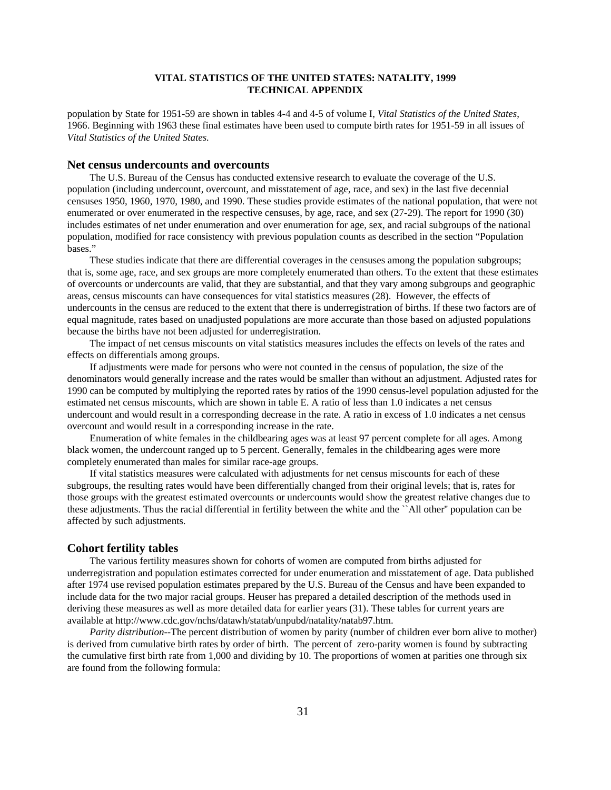population by State for 1951-59 are shown in tables 4-4 and 4-5 of volume I, *Vital Statistics of the United States*, 1966. Beginning with 1963 these final estimates have been used to compute birth rates for 1951-59 in all issues of *Vital Statistics of the United States.* 

#### **Net census undercounts and overcounts**

The U.S. Bureau of the Census has conducted extensive research to evaluate the coverage of the U.S. population (including undercount, overcount, and misstatement of age, race, and sex) in the last five decennial censuses 1950, 1960, 1970, 1980, and 1990. These studies provide estimates of the national population, that were not enumerated or over enumerated in the respective censuses, by age, race, and sex (27-29). The report for 1990 (30) includes estimates of net under enumeration and over enumeration for age, sex, and racial subgroups of the national population, modified for race consistency with previous population counts as described in the section "Population bases."

These studies indicate that there are differential coverages in the censuses among the population subgroups; that is, some age, race, and sex groups are more completely enumerated than others. To the extent that these estimates of overcounts or undercounts are valid, that they are substantial, and that they vary among subgroups and geographic areas, census miscounts can have consequences for vital statistics measures (28). However, the effects of undercounts in the census are reduced to the extent that there is underregistration of births. If these two factors are of equal magnitude, rates based on unadjusted populations are more accurate than those based on adjusted populations because the births have not been adjusted for underregistration.

The impact of net census miscounts on vital statistics measures includes the effects on levels of the rates and effects on differentials among groups.

If adjustments were made for persons who were not counted in the census of population, the size of the denominators would generally increase and the rates would be smaller than without an adjustment. Adjusted rates for 1990 can be computed by multiplying the reported rates by ratios of the 1990 census-level population adjusted for the estimated net census miscounts, which are shown in table E. A ratio of less than 1.0 indicates a net census undercount and would result in a corresponding decrease in the rate. A ratio in excess of 1.0 indicates a net census overcount and would result in a corresponding increase in the rate.

Enumeration of white females in the childbearing ages was at least 97 percent complete for all ages. Among black women, the undercount ranged up to 5 percent. Generally, females in the childbearing ages were more completely enumerated than males for similar race-age groups.

If vital statistics measures were calculated with adjustments for net census miscounts for each of these subgroups, the resulting rates would have been differentially changed from their original levels; that is, rates for those groups with the greatest estimated overcounts or undercounts would show the greatest relative changes due to these adjustments. Thus the racial differential in fertility between the white and the ``All other'' population can be affected by such adjustments.

#### **Cohort fertility tables**

The various fertility measures shown for cohorts of women are computed from births adjusted for underregistration and population estimates corrected for under enumeration and misstatement of age. Data published after 1974 use revised population estimates prepared by the U.S. Bureau of the Census and have been expanded to include data for the two major racial groups. Heuser has prepared a detailed description of the methods used in deriving these measures as well as more detailed data for earlier years (31). These tables for current years are available at http://www.cdc.gov/nchs/datawh/statab/unpubd/natality/natab97.htm.

*Parity distribution*--The percent distribution of women by parity (number of children ever born alive to mother) is derived from cumulative birth rates by order of birth. The percent of zero-parity women is found by subtracting the cumulative first birth rate from 1,000 and dividing by 10. The proportions of women at parities one through six are found from the following formula: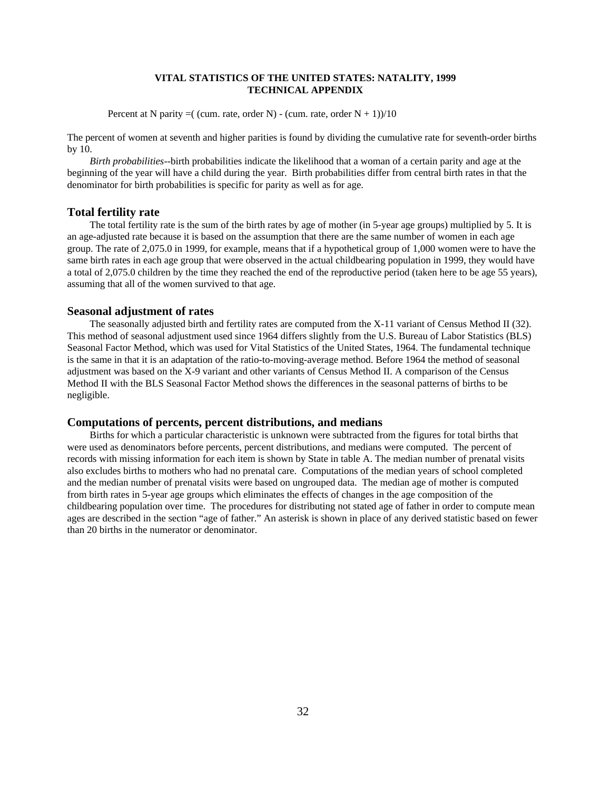Percent at N parity  $=$  (cum. rate, order N) - (cum. rate, order N + 1))/10

The percent of women at seventh and higher parities is found by dividing the cumulative rate for seventh-order births by 10.

*Birth probabilities*--birth probabilities indicate the likelihood that a woman of a certain parity and age at the beginning of the year will have a child during the year. Birth probabilities differ from central birth rates in that the denominator for birth probabilities is specific for parity as well as for age.

#### **Total fertility rate**

The total fertility rate is the sum of the birth rates by age of mother (in 5-year age groups) multiplied by 5. It is an age-adjusted rate because it is based on the assumption that there are the same number of women in each age group. The rate of 2,075.0 in 1999, for example, means that if a hypothetical group of 1,000 women were to have the same birth rates in each age group that were observed in the actual childbearing population in 1999, they would have a total of 2,075.0 children by the time they reached the end of the reproductive period (taken here to be age 55 years), assuming that all of the women survived to that age.

#### **Seasonal adjustment of rates**

The seasonally adjusted birth and fertility rates are computed from the X-11 variant of Census Method II (32). This method of seasonal adjustment used since 1964 differs slightly from the U.S. Bureau of Labor Statistics (BLS) Seasonal Factor Method, which was used for Vital Statistics of the United States, 1964. The fundamental technique is the same in that it is an adaptation of the ratio-to-moving-average method. Before 1964 the method of seasonal adjustment was based on the X-9 variant and other variants of Census Method II. A comparison of the Census Method II with the BLS Seasonal Factor Method shows the differences in the seasonal patterns of births to be negligible.

#### **Computations of percents, percent distributions, and medians**

Births for which a particular characteristic is unknown were subtracted from the figures for total births that were used as denominators before percents, percent distributions, and medians were computed. The percent of records with missing information for each item is shown by State in table A. The median number of prenatal visits also excludes births to mothers who had no prenatal care. Computations of the median years of school completed and the median number of prenatal visits were based on ungrouped data. The median age of mother is computed from birth rates in 5-year age groups which eliminates the effects of changes in the age composition of the childbearing population over time. The procedures for distributing not stated age of father in order to compute mean ages are described in the section "age of father." An asterisk is shown in place of any derived statistic based on fewer than 20 births in the numerator or denominator.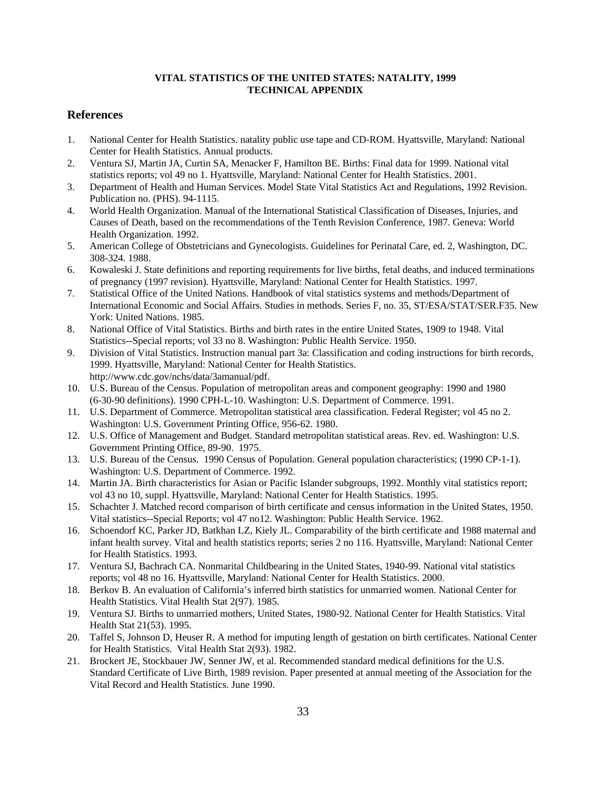#### **References**

- 1. National Center for Health Statistics. natality public use tape and CD-ROM. Hyattsville, Maryland: National Center for Health Statistics. Annual products.
- 2. Ventura SJ, Martin JA, Curtin SA, Menacker F, Hamilton BE. Births: Final data for 1999. National vital statistics reports; vol 49 no 1. Hyattsville, Maryland: National Center for Health Statistics. 2001.
- 3. Department of Health and Human Services. Model State Vital Statistics Act and Regulations, 1992 Revision. Publication no. (PHS). 94-1115.
- 4. World Health Organization. Manual of the International Statistical Classification of Diseases, Injuries, and Causes of Death, based on the recommendations of the Tenth Revision Conference, 1987. Geneva: World Health Organization. 1992.
- 5. American College of Obstetricians and Gynecologists. Guidelines for Perinatal Care, ed. 2, Washington, DC. 308-324. 1988.
- 6. Kowaleski J. State definitions and reporting requirements for live births, fetal deaths, and induced terminations of pregnancy (1997 revision). Hyattsville, Maryland: National Center for Health Statistics. 1997.
- 7. Statistical Office of the United Nations. Handbook of vital statistics systems and methods/Department of International Economic and Social Affairs. Studies in methods. Series F, no. 35, ST/ESA/STAT/SER.F35. New York: United Nations. 1985.
- 8. National Office of Vital Statistics. Births and birth rates in the entire United States, 1909 to 1948. Vital Statistics--Special reports; vol 33 no 8. Washington: Public Health Service. 1950.
- 9. Division of Vital Statistics. Instruction manual part 3a: Classification and coding instructions for birth records, 1999. Hyattsville, Maryland: National Center for Health Statistics. http://www.cdc.gov/nchs/data/3amanual/pdf.
- 10. U.S. Bureau of the Census. Population of metropolitan areas and component geography: 1990 and 1980 (6-30-90 definitions). 1990 CPH-L-10. Washington: U.S. Department of Commerce. 1991.
- 11. U.S. Department of Commerce. Metropolitan statistical area classification. Federal Register; vol 45 no 2. Washington: U.S. Government Printing Office, 956-62. 1980.
- 12. U.S. Office of Management and Budget. Standard metropolitan statistical areas. Rev. ed. Washington: U.S. Government Printing Office, 89-90. 1975.
- 13. U.S. Bureau of the Census. 1990 Census of Population. General population characteristics; (1990 CP-1-1). Washington: U.S. Department of Commerce. 1992.
- 14. Martin JA. Birth characteristics for Asian or Pacific Islander subgroups, 1992. Monthly vital statistics report; vol 43 no 10, suppl. Hyattsville, Maryland: National Center for Health Statistics. 1995.
- 15. Schachter J. Matched record comparison of birth certificate and census information in the United States, 1950. Vital statistics--Special Reports; vol 47 no12. Washington: Public Health Service. 1962.
- 16. Schoendorf KC, Parker JD, Batkhan LZ, Kiely JL. Comparability of the birth certificate and 1988 maternal and infant health survey. Vital and health statistics reports; series 2 no 116. Hyattsville, Maryland: National Center for Health Statistics. 1993.
- 17. Ventura SJ, Bachrach CA. Nonmarital Childbearing in the United States, 1940-99. National vital statistics reports; vol 48 no 16. Hyattsville, Maryland: National Center for Health Statistics. 2000.
- 18. Berkov B. An evaluation of California's inferred birth statistics for unmarried women. National Center for Health Statistics. Vital Health Stat 2(97). 1985.
- 19. Ventura SJ. Births to unmarried mothers, United States, 1980-92. National Center for Health Statistics. Vital Health Stat 21(53). 1995.
- 20. Taffel S, Johnson D, Heuser R. A method for imputing length of gestation on birth certificates. National Center for Health Statistics. Vital Health Stat 2(93). 1982.
- 21. Brockert JE, Stockbauer JW, Senner JW, et al. Recommended standard medical definitions for the U.S. Standard Certificate of Live Birth, 1989 revision. Paper presented at annual meeting of the Association for the Vital Record and Health Statistics. June 1990.